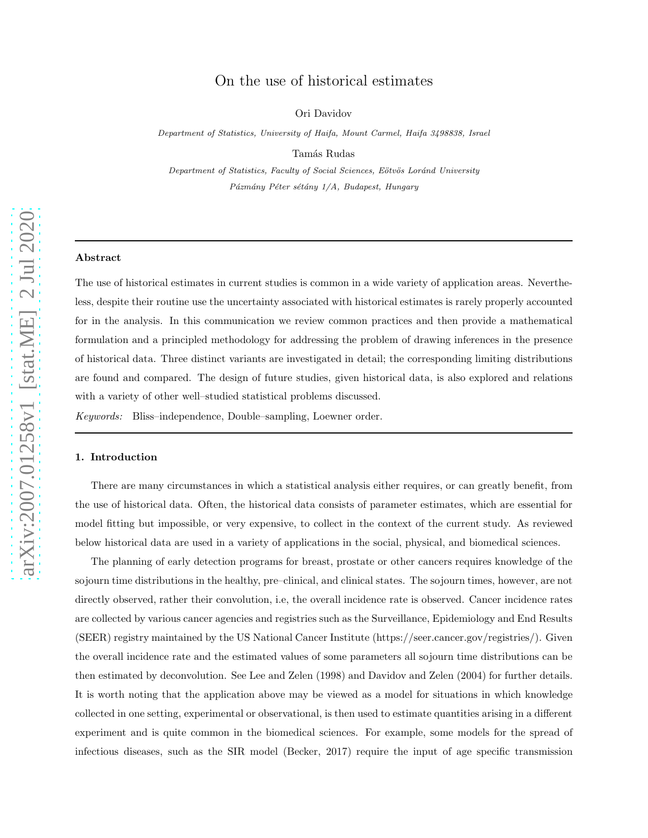# arXiv:2007.01258v1 [stat.ME] 2 Jul 2020 [arXiv:2007.01258v1 \[stat.ME\] 2 Jul 2020](http://arxiv.org/abs/2007.01258v1)

# On the use of historical estimates

Ori Davidov

Department of Statistics, University of Haifa, Mount Carmel, Haifa 3498838, Israel

Tamás Rudas

Department of Statistics, Faculty of Social Sciences, Eötvös Loránd University Pázmány Péter sétány 1/A, Budapest, Hungary

#### Abstract

The use of historical estimates in current studies is common in a wide variety of application areas. Nevertheless, despite their routine use the uncertainty associated with historical estimates is rarely properly accounted for in the analysis. In this communication we review common practices and then provide a mathematical formulation and a principled methodology for addressing the problem of drawing inferences in the presence of historical data. Three distinct variants are investigated in detail; the corresponding limiting distributions are found and compared. The design of future studies, given historical data, is also explored and relations with a variety of other well–studied statistical problems discussed.

Keywords: Bliss–independence, Double–sampling, Loewner order.

## 1. Introduction

There are many circumstances in which a statistical analysis either requires, or can greatly benefit, from the use of historical data. Often, the historical data consists of parameter estimates, which are essential for model fitting but impossible, or very expensive, to collect in the context of the current study. As reviewed below historical data are used in a variety of applications in the social, physical, and biomedical sciences.

The planning of early detection programs for breast, prostate or other cancers requires knowledge of the sojourn time distributions in the healthy, pre–clinical, and clinical states. The sojourn times, however, are not directly observed, rather their convolution, i.e, the overall incidence rate is observed. Cancer incidence rates are collected by various cancer agencies and registries such as the Surveillance, Epidemiology and End Results (SEER) registry maintained by the US National Cancer Institute (https://seer.cancer.gov/registries/). Given the overall incidence rate and the estimated values of some parameters all sojourn time distributions can be then estimated by deconvolution. See Lee and Zelen (1998) and Davidov and Zelen (2004) for further details. It is worth noting that the application above may be viewed as a model for situations in which knowledge collected in one setting, experimental or observational, is then used to estimate quantities arising in a different experiment and is quite common in the biomedical sciences. For example, some models for the spread of infectious diseases, such as the SIR model (Becker, 2017) require the input of age specific transmission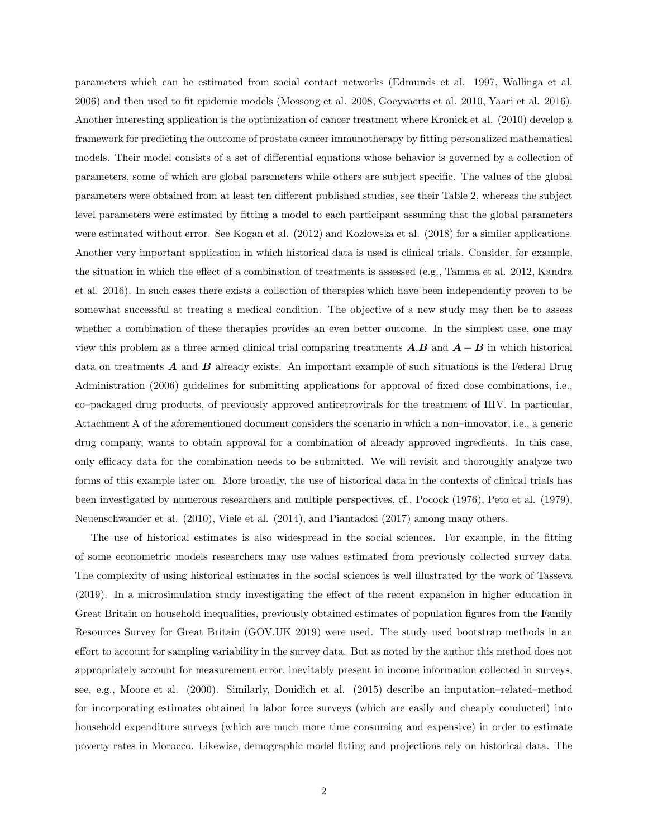parameters which can be estimated from social contact networks (Edmunds et al. 1997, Wallinga et al. 2006) and then used to fit epidemic models (Mossong et al. 2008, Goeyvaerts et al. 2010, Yaari et al. 2016). Another interesting application is the optimization of cancer treatment where Kronick et al. (2010) develop a framework for predicting the outcome of prostate cancer immunotherapy by fitting personalized mathematical models. Their model consists of a set of differential equations whose behavior is governed by a collection of parameters, some of which are global parameters while others are subject specific. The values of the global parameters were obtained from at least ten different published studies, see their Table 2, whereas the subject level parameters were estimated by fitting a model to each participant assuming that the global parameters were estimated without error. See Kogan et al. (2012) and Kozłowska et al. (2018) for a similar applications. Another very important application in which historical data is used is clinical trials. Consider, for example, the situation in which the effect of a combination of treatments is assessed (e.g., Tamma et al. 2012, Kandra et al. 2016). In such cases there exists a collection of therapies which have been independently proven to be somewhat successful at treating a medical condition. The objective of a new study may then be to assess whether a combination of these therapies provides an even better outcome. In the simplest case, one may view this problem as a three armed clinical trial comparing treatments  $A,B$  and  $A+B$  in which historical data on treatments  $A$  and  $B$  already exists. An important example of such situations is the Federal Drug Administration (2006) guidelines for submitting applications for approval of fixed dose combinations, i.e., co–packaged drug products, of previously approved antiretrovirals for the treatment of HIV. In particular, Attachment A of the aforementioned document considers the scenario in which a non–innovator, i.e., a generic drug company, wants to obtain approval for a combination of already approved ingredients. In this case, only efficacy data for the combination needs to be submitted. We will revisit and thoroughly analyze two forms of this example later on. More broadly, the use of historical data in the contexts of clinical trials has been investigated by numerous researchers and multiple perspectives, cf., Pocock (1976), Peto et al. (1979), Neuenschwander et al. (2010), Viele et al. (2014), and Piantadosi (2017) among many others.

The use of historical estimates is also widespread in the social sciences. For example, in the fitting of some econometric models researchers may use values estimated from previously collected survey data. The complexity of using historical estimates in the social sciences is well illustrated by the work of Tasseva (2019). In a microsimulation study investigating the effect of the recent expansion in higher education in Great Britain on household inequalities, previously obtained estimates of population figures from the Family Resources Survey for Great Britain (GOV.UK 2019) were used. The study used bootstrap methods in an effort to account for sampling variability in the survey data. But as noted by the author this method does not appropriately account for measurement error, inevitably present in income information collected in surveys, see, e.g., Moore et al. (2000). Similarly, Douidich et al. (2015) describe an imputation–related–method for incorporating estimates obtained in labor force surveys (which are easily and cheaply conducted) into household expenditure surveys (which are much more time consuming and expensive) in order to estimate poverty rates in Morocco. Likewise, demographic model fitting and projections rely on historical data. The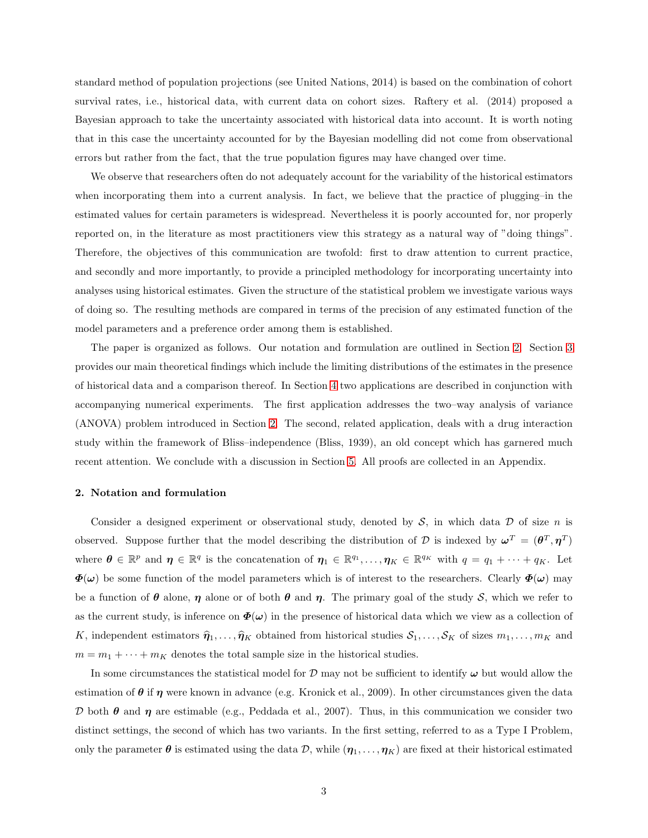standard method of population projections (see United Nations, 2014) is based on the combination of cohort survival rates, i.e., historical data, with current data on cohort sizes. Raftery et al. (2014) proposed a Bayesian approach to take the uncertainty associated with historical data into account. It is worth noting that in this case the uncertainty accounted for by the Bayesian modelling did not come from observational errors but rather from the fact, that the true population figures may have changed over time.

We observe that researchers often do not adequately account for the variability of the historical estimators when incorporating them into a current analysis. In fact, we believe that the practice of plugging–in the estimated values for certain parameters is widespread. Nevertheless it is poorly accounted for, nor properly reported on, in the literature as most practitioners view this strategy as a natural way of "doing things". Therefore, the objectives of this communication are twofold: first to draw attention to current practice, and secondly and more importantly, to provide a principled methodology for incorporating uncertainty into analyses using historical estimates. Given the structure of the statistical problem we investigate various ways of doing so. The resulting methods are compared in terms of the precision of any estimated function of the model parameters and a preference order among them is established.

The paper is organized as follows. Our notation and formulation are outlined in Section [2.](#page-2-0) Section [3](#page-3-0) provides our main theoretical findings which include the limiting distributions of the estimates in the presence of historical data and a comparison thereof. In Section [4](#page-9-0) two applications are described in conjunction with accompanying numerical experiments. The first application addresses the two–way analysis of variance (ANOVA) problem introduced in Section [2.](#page-2-0) The second, related application, deals with a drug interaction study within the framework of Bliss–independence (Bliss, 1939), an old concept which has garnered much recent attention. We conclude with a discussion in Section [5.](#page-15-0) All proofs are collected in an Appendix.

## <span id="page-2-0"></span>2. Notation and formulation

Consider a designed experiment or observational study, denoted by  $S$ , in which data  $D$  of size n is observed. Suppose further that the model describing the distribution of D is indexed by  $\omega^T = (\theta^T, \eta^T)$ where  $\boldsymbol{\theta} \in \mathbb{R}^p$  and  $\boldsymbol{\eta} \in \mathbb{R}^q$  is the concatenation of  $\boldsymbol{\eta}_1 \in \mathbb{R}^{q_1}, \ldots, \boldsymbol{\eta}_K \in \mathbb{R}^{q_K}$  with  $q = q_1 + \cdots + q_K$ . Let  $\Phi(\omega)$  be some function of the model parameters which is of interest to the researchers. Clearly  $\Phi(\omega)$  may be a function of  $\theta$  alone,  $\eta$  alone or of both  $\theta$  and  $\eta$ . The primary goal of the study S, which we refer to as the current study, is inference on  $\Phi(\omega)$  in the presence of historical data which we view as a collection of K, independent estimators  $\hat{\eta}_1, \ldots, \hat{\eta}_K$  obtained from historical studies  $S_1, \ldots, S_K$  of sizes  $m_1, \ldots, m_K$  and  $m = m_1 + \cdots + m_K$  denotes the total sample size in the historical studies.

In some circumstances the statistical model for  $D$  may not be sufficient to identify  $\omega$  but would allow the estimation of  $\theta$  if  $\eta$  were known in advance (e.g. Kronick et al., 2009). In other circumstances given the data D both θ and η are estimable (e.g., Peddada et al., 2007). Thus, in this communication we consider two distinct settings, the second of which has two variants. In the first setting, referred to as a Type I Problem, only the parameter  $\theta$  is estimated using the data  $\mathcal{D}$ , while  $(\eta_1, \ldots, \eta_K)$  are fixed at their historical estimated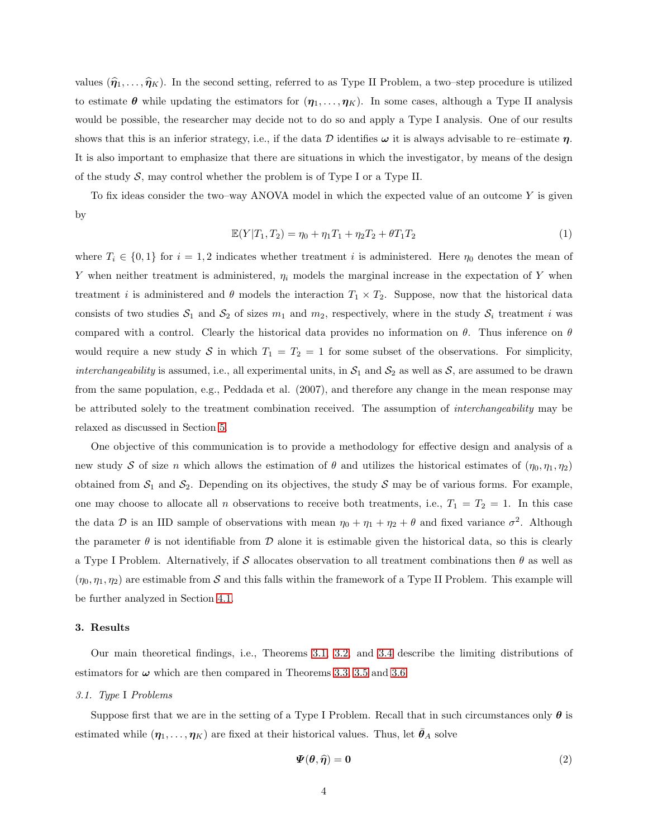values  $(\hat{\eta}_1, \ldots, \hat{\eta}_K)$ . In the second setting, referred to as Type II Problem, a two–step procedure is utilized to estimate  $\theta$  while updating the estimators for  $(\eta_1, \ldots, \eta_K)$ . In some cases, although a Type II analysis would be possible, the researcher may decide not to do so and apply a Type I analysis. One of our results shows that this is an inferior strategy, i.e., if the data D identifies  $\omega$  it is always advisable to re–estimate  $\eta$ . It is also important to emphasize that there are situations in which the investigator, by means of the design of the study  $S$ , may control whether the problem is of Type I or a Type II.

To fix ideas consider the two–way ANOVA model in which the expected value of an outcome Y is given by

<span id="page-3-3"></span>
$$
\mathbb{E}(Y|T_1, T_2) = \eta_0 + \eta_1 T_1 + \eta_2 T_2 + \theta T_1 T_2 \tag{1}
$$

where  $T_i \in \{0,1\}$  for  $i = 1,2$  indicates whether treatment i is administered. Here  $\eta_0$  denotes the mean of Y when neither treatment is administered,  $\eta_i$  models the marginal increase in the expectation of Y when treatment *i* is administered and  $\theta$  models the interaction  $T_1 \times T_2$ . Suppose, now that the historical data consists of two studies  $S_1$  and  $S_2$  of sizes  $m_1$  and  $m_2$ , respectively, where in the study  $S_i$  treatment i was compared with a control. Clearly the historical data provides no information on  $\theta$ . Thus inference on  $\theta$ would require a new study S in which  $T_1 = T_2 = 1$  for some subset of the observations. For simplicity, interchangeability is assumed, i.e., all experimental units, in  $S_1$  and  $S_2$  as well as S, are assumed to be drawn from the same population, e.g., Peddada et al. (2007), and therefore any change in the mean response may be attributed solely to the treatment combination received. The assumption of interchangeability may be relaxed as discussed in Section [5.](#page-15-0)

One objective of this communication is to provide a methodology for effective design and analysis of a new study S of size n which allows the estimation of  $\theta$  and utilizes the historical estimates of  $(\eta_0, \eta_1, \eta_2)$ obtained from  $S_1$  and  $S_2$ . Depending on its objectives, the study S may be of various forms. For example, one may choose to allocate all n observations to receive both treatments, i.e.,  $T_1 = T_2 = 1$ . In this case the data D is an IID sample of observations with mean  $\eta_0 + \eta_1 + \eta_2 + \theta$  and fixed variance  $\sigma^2$ . Although the parameter  $\theta$  is not identifiable from  $\mathcal D$  alone it is estimable given the historical data, so this is clearly a Type I Problem. Alternatively, if S allocates observation to all treatment combinations then  $\theta$  as well as  $(\eta_0, \eta_1, \eta_2)$  are estimable from S and this falls within the framework of a Type II Problem. This example will be further analyzed in Section [4.1.](#page-9-1)

#### <span id="page-3-0"></span>3. Results

Our main theoretical findings, i.e., Theorems [3.1,](#page-4-0) [3.2,](#page-6-0) and [3.4](#page-7-0) describe the limiting distributions of estimators for  $\omega$  which are then compared in Theorems [3.3,](#page-6-1) [3.5](#page-8-0) and [3.6.](#page-8-1)

#### <span id="page-3-2"></span>3.1. Type I Problems

Suppose first that we are in the setting of a Type I Problem. Recall that in such circumstances only  $\theta$  is estimated while  $(\eta_1, \ldots, \eta_K)$  are fixed at their historical values. Thus, let  $\theta_A$  solve

<span id="page-3-1"></span>
$$
\boldsymbol{\varPsi}(\boldsymbol{\theta},\widehat{\boldsymbol{\eta}})=\mathbf{0} \tag{2}
$$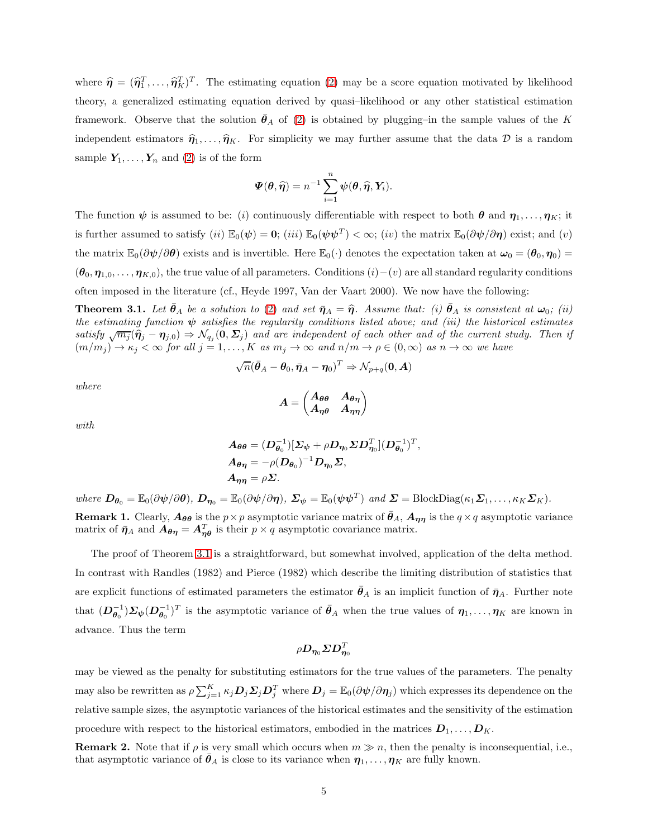where  $\hat{\eta} = (\hat{\eta}_1^T, \dots, \hat{\eta}_K^T)^T$ . The estimating equation [\(2\)](#page-3-1) may be a score equation motivated by likelihood theory, a generalized estimating equation derived by quasi–likelihood or any other statistical estimation framework. Observe that the solution  $\theta_A$  of [\(2\)](#page-3-1) is obtained by plugging–in the sample values of the K independent estimators  $\hat{\eta}_1, \ldots, \hat{\eta}_K$ . For simplicity we may further assume that the data D is a random sample  $Y_1, \ldots, Y_n$  and [\(2\)](#page-3-1) is of the form

$$
\boldsymbol{\varPsi}(\boldsymbol{\theta}, \widehat{\boldsymbol{\eta}}) = n^{-1} \sum_{i=1}^n \boldsymbol{\psi}(\boldsymbol{\theta}, \widehat{\boldsymbol{\eta}}, \boldsymbol{Y}_i).
$$

The function  $\psi$  is assumed to be: (i) continuously differentiable with respect to both  $\theta$  and  $\eta_1, \ldots, \eta_K$ ; it is further assumed to satisfy  $(ii) \mathbb{E}_0(\psi) = \mathbf{0}$ ;  $(iii) \mathbb{E}_0(\psi \psi^T) < \infty$ ;  $(iv)$  the matrix  $\mathbb{E}_0(\partial \psi/\partial \eta)$  exist; and  $(v)$ the matrix  $\mathbb{E}_0(\partial \psi/\partial \theta)$  exists and is invertible. Here  $\mathbb{E}_0(\cdot)$  denotes the expectation taken at  $\omega_0 = (\theta_0, \eta_0)$  $(\theta_0, \eta_{1,0}, \ldots, \eta_{K,0})$ , the true value of all parameters. Conditions  $(i)$  –(v) are all standard regularity conditions often imposed in the literature (cf., Heyde 1997, Van der Vaart 2000). We now have the following:

<span id="page-4-0"></span>**Theorem 3.1.** Let  $\theta_A$  be a solution to [\(2\)](#page-3-1) and set  $\bar{\eta}_A = \hat{\eta}$ . Assume that: (i)  $\bar{\theta}_A$  is consistent at  $\omega_0$ ; (ii) the estimating function  $\psi$  satisfies the regularity conditions listed above; and (iii) the historical estimates satisfy  $\sqrt{m_j}(\hat{\boldsymbol{\eta}}_j - \boldsymbol{\eta}_{j,0}) \Rightarrow \mathcal{N}_{q_j}(\boldsymbol{0}, \boldsymbol{\Sigma}_j)$  and are independent of each other and of the current study. Then if  $(m/m_j) \to \kappa_j < \infty$  for all  $j = 1, ..., K$  as  $m_j \to \infty$  and  $n/m \to \rho \in (0, \infty)$  as  $n \to \infty$  we have

$$
\sqrt{n}(\bar{\boldsymbol{\theta}}_A - \boldsymbol{\theta}_0, \bar{\boldsymbol{\eta}}_A - \boldsymbol{\eta}_0)^T \Rightarrow \mathcal{N}_{p+q}(\boldsymbol{0}, \boldsymbol{A})
$$

where

$$
A=\begin{pmatrix} A_{\theta\theta} & A_{\theta\eta} \\ A_{\eta\theta} & A_{\eta\eta} \end{pmatrix}
$$

with

$$
A_{\theta\theta} = (D_{\theta_0}^{-1})[\Sigma_{\psi} + \rho D_{\eta_0} \Sigma D_{\eta_0}^T](D_{\theta_0}^{-1})^T,
$$
  
\n
$$
A_{\theta\eta} = -\rho(D_{\theta_0})^{-1}D_{\eta_0}\Sigma,
$$
  
\n
$$
A_{\eta\eta} = \rho\Sigma.
$$

where  $\mathbf{D}_{\theta_0} = \mathbb{E}_0(\partial \psi/\partial \theta)$ ,  $\mathbf{D}_{\eta_0} = \mathbb{E}_0(\partial \psi/\partial \eta)$ ,  $\mathbf{\Sigma}_{\psi} = \mathbb{E}_0(\psi \psi^T)$  and  $\mathbf{\Sigma} = \text{BlockDiag}(\kappa_1 \mathbf{\Sigma}_1, \dots, \kappa_K \mathbf{\Sigma}_K)$ .

**Remark 1.** Clearly,  $A_{\theta\theta}$  is the  $p \times p$  asymptotic variance matrix of  $\bar{\theta}_A$ ,  $A_{\eta\eta}$  is the  $q \times q$  asymptotic variance matrix of  $\bar{\eta}_A$  and  $A_{\theta\eta} = A_{\eta\theta}^T$  is their  $p \times q$  asymptotic covariance matrix.

The proof of Theorem [3.1](#page-4-0) is a straightforward, but somewhat involved, application of the delta method. In contrast with Randles (1982) and Pierce (1982) which describe the limiting distribution of statistics that are explicit functions of estimated parameters the estimator  $\bar{\theta}_A$  is an implicit function of  $\bar{\eta}_A$ . Further note that  $(D_{\theta_0}^{-1})\Sigma_{\psi}(D_{\theta_0}^{-1})^T$  is the asymptotic variance of  $\bar{\theta}_A$  when the true values of  $\eta_1,\ldots,\eta_K$  are known in advance. Thus the term

$$
\rho \boldsymbol{D}_{\boldsymbol{\eta}_0} \boldsymbol{\Sigma} \boldsymbol{D}_{\boldsymbol{\eta}_0}^T
$$

may be viewed as the penalty for substituting estimators for the true values of the parameters. The penalty may also be rewritten as  $\rho \sum_{j=1}^K \kappa_j \bm{D}_j \bm{\Sigma}_j \bm{D}_j^T$  where  $\bm{D}_j = \mathbb{E}_0(\partial \bm{\psi}/\partial \bm{\eta}_j)$  which expresses its dependence on the relative sample sizes, the asymptotic variances of the historical estimates and the sensitivity of the estimation procedure with respect to the historical estimators, embodied in the matrices  $D_1, \ldots, D_K$ .

<span id="page-4-1"></span>**Remark 2.** Note that if  $\rho$  is very small which occurs when  $m \gg n$ , then the penalty is inconsequential, i.e., that asymptotic variance of  $\theta_A$  is close to its variance when  $\eta_1, \ldots, \eta_K$  are fully known.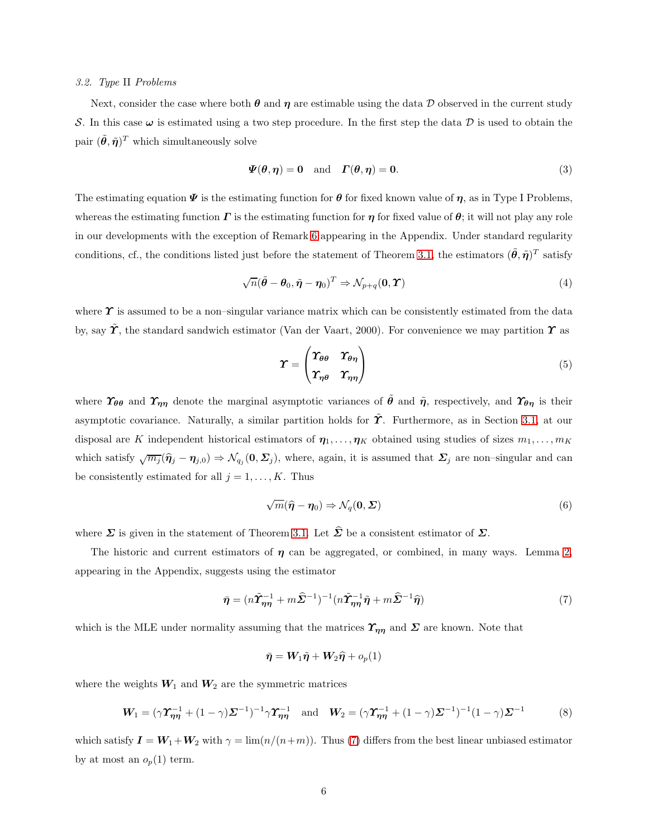#### 3.2. Type II Problems

Next, consider the case where both  $\theta$  and  $\eta$  are estimable using the data D observed in the current study S. In this case  $\omega$  is estimated using a two step procedure. In the first step the data D is used to obtain the pair  $(\tilde{\theta}, \tilde{\eta})^T$  which simultaneously solve

<span id="page-5-4"></span>
$$
\Psi(\theta, \eta) = 0 \quad \text{and} \quad \Gamma(\theta, \eta) = 0. \tag{3}
$$

The estimating equation  $\Psi$  is the estimating function for  $\theta$  for fixed known value of  $\eta$ , as in Type I Problems, whereas the estimating function  $\Gamma$  is the estimating function for  $\eta$  for fixed value of  $\theta$ ; it will not play any role in our developments with the exception of Remark [6](#page-28-0) appearing in the Appendix. Under standard regularity conditions, cf., the conditions listed just before the statement of Theorem [3.1,](#page-4-0) the estimators  $(\tilde{\theta}, \tilde{\eta})^T$  satisfy

<span id="page-5-1"></span>
$$
\sqrt{n}(\tilde{\boldsymbol{\theta}} - \boldsymbol{\theta}_0, \tilde{\boldsymbol{\eta}} - \boldsymbol{\eta}_0)^T \Rightarrow \mathcal{N}_{p+q}(\mathbf{0}, \boldsymbol{\Upsilon})
$$
\n(4)

where  $\Upsilon$  is assumed to be a non–singular variance matrix which can be consistently estimated from the data by, say  $\tilde{\Upsilon}$ , the standard sandwich estimator (Van der Vaart, 2000). For convenience we may partition  $\Upsilon$  as

$$
\Upsilon = \begin{pmatrix} \Upsilon_{\theta\theta} & \Upsilon_{\theta\eta} \\ \Upsilon_{\eta\theta} & \Upsilon_{\eta\eta} \end{pmatrix}
$$
 (5)

where  $\gamma_{\theta\theta}$  and  $\gamma_{\eta\eta}$  denote the marginal asymptotic variances of  $\tilde{\theta}$  and  $\tilde{\eta}$ , respectively, and  $\gamma_{\theta\eta}$  is their asymptotic covariance. Naturally, a similar partition holds for  $\tilde{\Upsilon}$ . Furthermore, as in Section [3.1,](#page-3-2) at our disposal are K independent historical estimators of  $\eta_1, \ldots, \eta_K$  obtained using studies of sizes  $m_1, \ldots, m_K$ which satisfy  $\sqrt{m_j}(\hat{\eta}_j - \eta_{j,0}) \Rightarrow \mathcal{N}_{q_j}(0, \Sigma_j)$ , where, again, it is assumed that  $\Sigma_j$  are non–singular and can be consistently estimated for all  $j = 1, \ldots, K$ . Thus

<span id="page-5-2"></span>
$$
\sqrt{m}(\widehat{\boldsymbol{\eta}} - \boldsymbol{\eta}_0) \Rightarrow \mathcal{N}_q(\mathbf{0}, \boldsymbol{\Sigma})
$$
\n(6)

where  $\Sigma$  is given in the statement of Theorem [3.1.](#page-4-0) Let  $\hat{\Sigma}$  be a consistent estimator of  $\Sigma$ .

The historic and current estimators of  $\eta$  can be aggregated, or combined, in many ways. Lemma [2,](#page-26-0) appearing in the Appendix, suggests using the estimator

<span id="page-5-0"></span>
$$
\bar{\boldsymbol{\eta}} = (n\tilde{\boldsymbol{\Upsilon}}_{\boldsymbol{\eta\eta}}^{-1} + m\hat{\boldsymbol{\Sigma}}^{-1})^{-1} (n\tilde{\boldsymbol{\Upsilon}}_{\boldsymbol{\eta\eta}}^{-1}\tilde{\boldsymbol{\eta}} + m\hat{\boldsymbol{\Sigma}}^{-1}\hat{\boldsymbol{\eta}}) \tag{7}
$$

which is the MLE under normality assuming that the matrices  $\Upsilon_{\eta\eta}$  and  $\Sigma$  are known. Note that

$$
\bar{\boldsymbol{\eta}} = \boldsymbol{W}_1 \tilde{\boldsymbol{\eta}} + \boldsymbol{W}_2 \widehat{\boldsymbol{\eta}} + o_p(1)
$$

where the weights  $W_1$  and  $W_2$  are the symmetric matrices

<span id="page-5-3"></span>
$$
\mathbf{W}_1 = (\gamma \mathbf{\Upsilon}_{\eta \eta}^{-1} + (1 - \gamma) \mathbf{\Sigma}^{-1})^{-1} \gamma \mathbf{\Upsilon}_{\eta \eta}^{-1} \text{ and } \mathbf{W}_2 = (\gamma \mathbf{\Upsilon}_{\eta \eta}^{-1} + (1 - \gamma) \mathbf{\Sigma}^{-1})^{-1} (1 - \gamma) \mathbf{\Sigma}^{-1} \tag{8}
$$

which satisfy  $I = W_1 + W_2$  with  $\gamma = \lim_n(n/(n+m))$ . Thus [\(7\)](#page-5-0) differs from the best linear unbiased estimator by at most an  $o_p(1)$  term.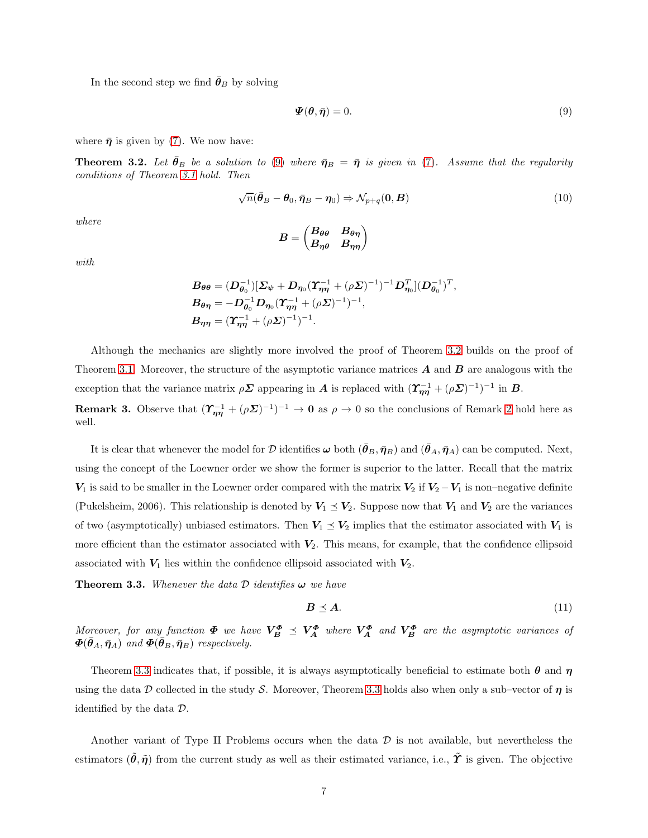In the second step we find  $\bar{\theta}_B$  by solving

<span id="page-6-2"></span>
$$
\mathbf{\Psi}(\boldsymbol{\theta},\bar{\boldsymbol{\eta}})=0.\tag{9}
$$

where  $\bar{\eta}$  is given by [\(7\)](#page-5-0). We now have:

<span id="page-6-0"></span>**Theorem 3.2.** Let  $\bar{\theta}_B$  be a solution to [\(9\)](#page-6-2) where  $\bar{\eta}_B = \bar{\eta}$  is given in [\(7\)](#page-5-0). Assume that the regularity conditions of Theorem [3.1](#page-4-0) hold. Then

$$
\sqrt{n}(\bar{\theta}_B - \theta_0, \bar{\eta}_B - \eta_0) \Rightarrow \mathcal{N}_{p+q}(\mathbf{0}, \mathbf{B})
$$
\n(10)

where

$$
B=\begin{pmatrix} B_{\theta\theta} & B_{\theta\eta} \\ B_{\eta\theta} & B_{\eta\eta} \end{pmatrix}
$$

with

$$
B_{\theta\theta} = (D_{\theta_0}^{-1})[\Sigma_{\psi} + D_{\eta_0}(\Upsilon_{\eta\eta}^{-1} + (\rho \Sigma)^{-1})^{-1}D_{\eta_0}^T](D_{\theta_0}^{-1})^T,
$$
  
\n
$$
B_{\theta\eta} = -D_{\theta_0}^{-1}D_{\eta_0}(\Upsilon_{\eta\eta}^{-1} + (\rho \Sigma)^{-1})^{-1},
$$
  
\n
$$
B_{\eta\eta} = (\Upsilon_{\eta\eta}^{-1} + (\rho \Sigma)^{-1})^{-1}.
$$

Although the mechanics are slightly more involved the proof of Theorem [3.2](#page-6-0) builds on the proof of Theorem [3.1.](#page-4-0) Moreover, the structure of the asymptotic variance matrices  $\boldsymbol{A}$  and  $\boldsymbol{B}$  are analogous with the exception that the variance matrix  $\rho \Sigma$  appearing in A is replaced with  $(\Upsilon_{\eta\eta}^{-1} + (\rho \Sigma)^{-1})^{-1}$  in B.

**Remark 3.** Observe that  $(\Upsilon_{\eta\eta}^{-1} + (\rho \Sigma)^{-1})^{-1} \to 0$  as  $\rho \to 0$  so the conclusions of Remark [2](#page-4-1) hold here as well.

It is clear that whenever the model for D identifies  $\omega$  both  $(\theta_B, \bar{\eta}_B)$  and  $(\theta_A, \bar{\eta}_A)$  can be computed. Next, using the concept of the Loewner order we show the former is superior to the latter. Recall that the matrix  $V_1$  is said to be smaller in the Loewner order compared with the matrix  $V_2$  if  $V_2 - V_1$  is non–negative definite (Pukelsheim, 2006). This relationship is denoted by  $V_1 \preceq V_2$ . Suppose now that  $V_1$  and  $V_2$  are the variances of two (asymptotically) unbiased estimators. Then  $V_1 \le V_2$  implies that the estimator associated with  $V_1$  is more efficient than the estimator associated with  $V_2$ . This means, for example, that the confidence ellipsoid associated with  $V_1$  lies within the confidence ellipsoid associated with  $V_2$ .

<span id="page-6-1"></span>**Theorem 3.3.** Whenever the data  $D$  identifies  $\omega$  we have

$$
B \preceq A. \tag{11}
$$

Moreover, for any function  $\Phi$  we have  $V_{B}^{\Phi} \preceq V_{A}^{\Phi}$  where  $V_{A}^{\Phi}$  and  $V_{B}^{\Phi}$  are the asymptotic variances of  $\boldsymbol{\Phi}(\bar{\boldsymbol{\theta}}_A, \bar{\boldsymbol{\eta}}_A)$  and  $\boldsymbol{\Phi}(\bar{\boldsymbol{\theta}}_B, \bar{\boldsymbol{\eta}}_B)$  respectively.

Theorem [3.3](#page-6-1) indicates that, if possible, it is always asymptotically beneficial to estimate both  $\theta$  and  $\eta$ using the data D collected in the study S. Moreover, Theorem [3.3](#page-6-1) holds also when only a sub–vector of  $\eta$  is identified by the data  $\mathcal{D}$ .

Another variant of Type II Problems occurs when the data  $\mathcal D$  is not available, but nevertheless the estimators  $(\tilde{\theta}, \tilde{\eta})$  from the current study as well as their estimated variance, i.e.,  $\tilde{\boldsymbol{\gamma}}$  is given. The objective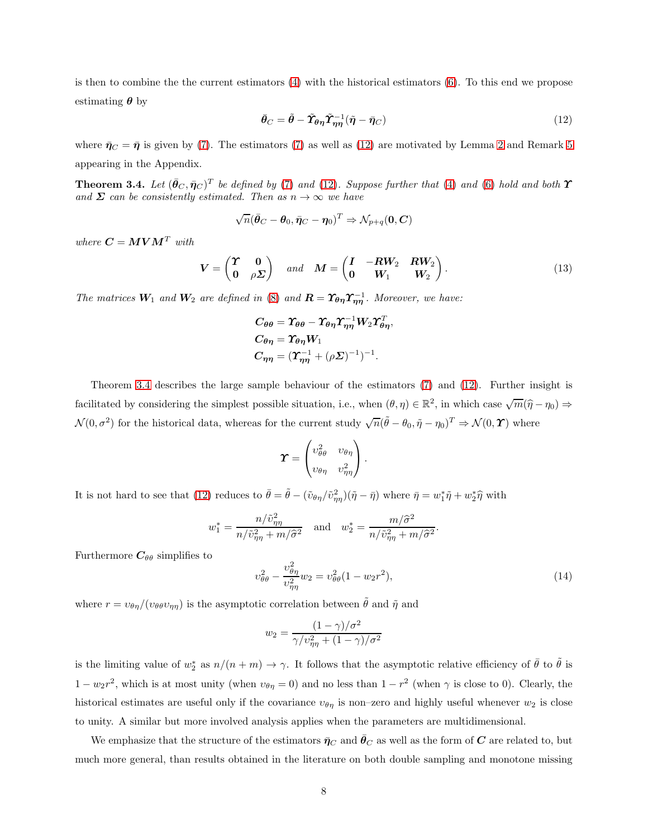is then to combine the the current estimators  $(4)$  with the historical estimators  $(6)$ . To this end we propose estimating  $\theta$  by

<span id="page-7-1"></span>
$$
\bar{\boldsymbol{\theta}}_C = \tilde{\boldsymbol{\theta}} - \tilde{\boldsymbol{\Upsilon}}_{\boldsymbol{\theta}\boldsymbol{\eta}} \tilde{\boldsymbol{\Upsilon}}_{\boldsymbol{\eta}\boldsymbol{\eta}}^{-1} (\tilde{\boldsymbol{\eta}} - \bar{\boldsymbol{\eta}}_C) \tag{12}
$$

where  $\bar{\pmb{\eta}}_C = \bar{\pmb{\eta}}$  is given by [\(7\)](#page-5-0). The estimators (7) as well as [\(12\)](#page-7-1) are motivated by Lemma [2](#page-26-0) and Remark [5](#page-26-1) appearing in the Appendix.

<span id="page-7-0"></span>**Theorem 3.4.** Let  $(\bar{\theta}_C, \bar{\eta}_C)^T$  be defined by [\(7\)](#page-5-0) and [\(12\)](#page-7-1). Suppose further that [\(4\)](#page-5-1) and [\(6\)](#page-5-2) hold and both  $\gamma$ and  $\Sigma$  can be consistently estimated. Then as  $n \to \infty$  we have

$$
\sqrt{n}(\bar{\boldsymbol{\theta}}_C - \boldsymbol{\theta}_0, \bar{\boldsymbol{\eta}}_C - \boldsymbol{\eta}_0)^T \Rightarrow \mathcal{N}_{p+q}(\boldsymbol{0}, \boldsymbol{C})
$$

where  $\boldsymbol{C} = \boldsymbol{M} \boldsymbol{V} \boldsymbol{M}^T$  with

<span id="page-7-3"></span>
$$
\boldsymbol{V} = \begin{pmatrix} \boldsymbol{\Upsilon} & \mathbf{0} \\ \mathbf{0} & \rho \boldsymbol{\Sigma} \end{pmatrix} \quad and \quad \boldsymbol{M} = \begin{pmatrix} \boldsymbol{I} & -\boldsymbol{R}\boldsymbol{W}_{2} & \boldsymbol{R}\boldsymbol{W}_{2} \\ \mathbf{0} & \boldsymbol{W}_{1} & \boldsymbol{W}_{2} \end{pmatrix} . \tag{13}
$$

The matrices  $W_1$  and  $W_2$  are defined in [\(8\)](#page-5-3) and  $\mathbf{R} = \Upsilon_{\theta\eta} \Upsilon_{\eta\eta}^{-1}$ . Moreover, we have:

$$
C_{\theta\theta} = \Upsilon_{\theta\theta} - \Upsilon_{\theta\eta} \Upsilon_{\eta\eta}^{-1} W_2 \Upsilon_{\theta\eta}^T,
$$
  
\n
$$
C_{\theta\eta} = \Upsilon_{\theta\eta} W_1
$$
  
\n
$$
C_{\eta\eta} = (\Upsilon_{\eta\eta}^{-1} + (\rho \Sigma)^{-1})^{-1}.
$$

Theorem [3.4](#page-7-0) describes the large sample behaviour of the estimators [\(7\)](#page-5-0) and [\(12\)](#page-7-1). Further insight is facilitated by considering the simplest possible situation, i.e., when  $(\theta, \eta) \in \mathbb{R}^2$ , in which case  $\sqrt{m}(\hat{\eta}-\eta_0) \Rightarrow$  $\mathcal{N}(0, \sigma^2)$  for the historical data, whereas for the current study  $\sqrt{n}(\tilde{\theta} - \theta_0, \tilde{\eta} - \eta_0)^T \Rightarrow \mathcal{N}(0, \mathbf{\Upsilon})$  where

$$
\boldsymbol{\varUpsilon} = \begin{pmatrix} v_{\theta\theta}^2 & v_{\theta\eta} \\ v_{\theta\eta} & v_{\eta\eta}^2 \end{pmatrix}.
$$

It is not hard to see that [\(12\)](#page-7-1) reduces to  $\bar{\theta} = \tilde{\theta} - (\tilde{v}_{\theta\eta}/\tilde{v}_{\eta\eta}^2)(\tilde{\eta} - \bar{\eta})$  where  $\bar{\eta} = w_1^* \tilde{\eta} + w_2^* \hat{\eta}$  with

$$
w_1^* = \frac{n/\tilde{v}_{\eta\eta}^2}{n/\tilde{v}_{\eta\eta}^2 + m/\hat{\sigma}^2}
$$
 and 
$$
w_2^* = \frac{m/\hat{\sigma}^2}{n/\tilde{v}_{\eta\eta}^2 + m/\hat{\sigma}^2}.
$$

Furthermore  $C_{\theta\theta}$  simplifies to

<span id="page-7-2"></span>
$$
v_{\theta\theta}^2 - \frac{v_{\theta\eta}^2}{v_{\eta\eta}^2} w_2 = v_{\theta\theta}^2 (1 - w_2 r^2),\tag{14}
$$

where  $r = v_{\theta\eta}/(v_{\theta\theta}v_{\eta\eta})$  is the asymptotic correlation between  $\tilde{\theta}$  and  $\tilde{\eta}$  and

$$
w_2 = \frac{(1-\gamma)/\sigma^2}{\gamma/\upsilon_{\eta\eta}^2 + (1-\gamma)/\sigma^2}
$$

is the limiting value of  $w_2^*$  as  $n/(n+m) \to \gamma$ . It follows that the asymptotic relative efficiency of  $\bar{\theta}$  to  $\tilde{\theta}$  is  $1 - w_2 r^2$ , which is at most unity (when  $v_{\theta \eta} = 0$ ) and no less than  $1 - r^2$  (when  $\gamma$  is close to 0). Clearly, the historical estimates are useful only if the covariance  $v_{\theta\eta}$  is non-zero and highly useful whenever  $w_2$  is close to unity. A similar but more involved analysis applies when the parameters are multidimensional.

We emphasize that the structure of the estimators  $\bar{\eta}_C$  and  $\bar{\theta}_C$  as well as the form of C are related to, but much more general, than results obtained in the literature on both double sampling and monotone missing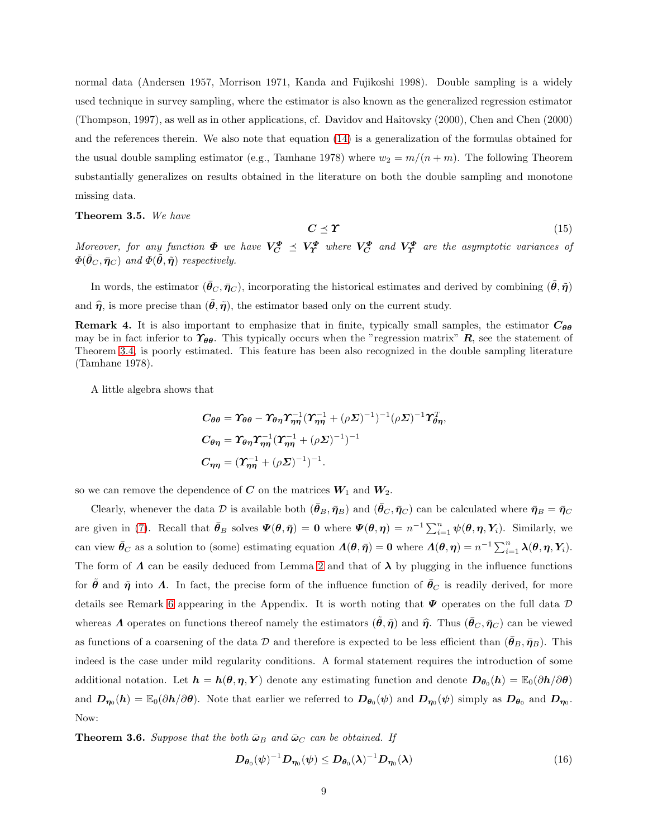normal data (Andersen 1957, Morrison 1971, Kanda and Fujikoshi 1998). Double sampling is a widely used technique in survey sampling, where the estimator is also known as the generalized regression estimator (Thompson, 1997), as well as in other applications, cf. Davidov and Haitovsky (2000), Chen and Chen (2000) and the references therein. We also note that equation [\(14\)](#page-7-2) is a generalization of the formulas obtained for the usual double sampling estimator (e.g., Tamhane 1978) where  $w_2 = m/(n+m)$ . The following Theorem substantially generalizes on results obtained in the literature on both the double sampling and monotone missing data.

#### <span id="page-8-0"></span>Theorem 3.5. We have

$$
C \preceq \Upsilon \tag{15}
$$

Moreover, for any function  $\Phi$  we have  $V_C^{\Phi} \preceq V_T^{\Phi}$  where  $V_C^{\Phi}$  and  $V_T^{\Phi}$  are the asymptotic variances of  $\Phi(\bar{\boldsymbol{\theta}}_C, \bar{\boldsymbol{\eta}}_C)$  and  $\Phi(\tilde{\boldsymbol{\theta}}, \tilde{\boldsymbol{\eta}})$  respectively.

In words, the estimator  $(\theta_C, \bar{\eta}_C)$ , incorporating the historical estimates and derived by combining  $(\theta, \tilde{\eta})$ and  $\hat{\eta}$ , is more precise than  $(\tilde{\theta}, \tilde{\eta})$ , the estimator based only on the current study.

**Remark 4.** It is also important to emphasize that in finite, typically small samples, the estimator  $C_{\theta\theta}$ may be in fact inferior to  $\Upsilon_{\theta\theta}$ . This typically occurs when the "regression matrix"  $R$ , see the statement of Theorem [3.4,](#page-7-0) is poorly estimated. This feature has been also recognized in the double sampling literature (Tamhane 1978).

A little algebra shows that

$$
C_{\theta\theta} = \Upsilon_{\theta\theta} - \Upsilon_{\theta\eta} \Upsilon_{\eta\eta}^{-1} (\Upsilon_{\eta\eta}^{-1} + (\rho \Sigma)^{-1})^{-1} (\rho \Sigma)^{-1} \Upsilon_{\theta\eta}^T,
$$
  
\n
$$
C_{\theta\eta} = \Upsilon_{\theta\eta} \Upsilon_{\eta\eta}^{-1} (\Upsilon_{\eta\eta}^{-1} + (\rho \Sigma)^{-1})^{-1}
$$
  
\n
$$
C_{\eta\eta} = (\Upsilon_{\eta\eta}^{-1} + (\rho \Sigma)^{-1})^{-1}.
$$

so we can remove the dependence of C on the matrices  $W_1$  and  $W_2$ .

Clearly, whenever the data D is available both  $(\bar{\theta}_B, \bar{\eta}_B)$  and  $(\bar{\theta}_C, \bar{\eta}_C)$  can be calculated where  $\bar{\eta}_B = \bar{\eta}_C$ are given in [\(7\)](#page-5-0). Recall that  $\bar{\theta}_B$  solves  $\Psi(\theta, \bar{\eta}) = 0$  where  $\Psi(\theta, \eta) = n^{-1} \sum_{i=1}^n \psi(\theta, \eta, Y_i)$ . Similarly, we can view  $\bar{\theta}_C$  as a solution to (some) estimating equation  $\Lambda(\theta, \bar{\eta}) = 0$  where  $\Lambda(\theta, \eta) = n^{-1} \sum_{i=1}^n \lambda(\theta, \eta, Y_i)$ . The form of  $\Lambda$  can be easily deduced from Lemma [2](#page-26-0) and that of  $\lambda$  by plugging in the influence functions for  $\theta$  and  $\tilde{\eta}$  into  $\Lambda$ . In fact, the precise form of the influence function of  $\theta_C$  is readily derived, for more details see Remark [6](#page-28-0) appearing in the Appendix. It is worth noting that  $\Psi$  operates on the full data  $\mathcal D$ whereas  $\Lambda$  operates on functions thereof namely the estimators  $(\hat{\theta}, \tilde{\eta})$  and  $\hat{\eta}$ . Thus  $(\tilde{\theta}_C, \tilde{\eta}_C)$  can be viewed as functions of a coarsening of the data D and therefore is expected to be less efficient than  $(\bar{\theta}_B, \bar{\eta}_B)$ . This indeed is the case under mild regularity conditions. A formal statement requires the introduction of some additional notation. Let  $h = h(\theta, \eta, Y)$  denote any estimating function and denote  $D_{\theta_0}(h) = \mathbb{E}_0(\partial h/\partial \theta)$ and  $D_{\eta_0}(h) = \mathbb{E}_0(\partial h/\partial \theta)$ . Note that earlier we referred to  $D_{\theta_0}(\psi)$  and  $D_{\eta_0}(\psi)$  simply as  $D_{\theta_0}$  and  $D_{\eta_0}$ . Now:

<span id="page-8-1"></span>**Theorem 3.6.** Suppose that the both  $\bar{\omega}_B$  and  $\bar{\omega}_C$  can be obtained. If

<span id="page-8-2"></span>
$$
D_{\boldsymbol{\theta}_0}(\boldsymbol{\psi})^{-1} D_{\boldsymbol{\eta}_0}(\boldsymbol{\psi}) \le D_{\boldsymbol{\theta}_0}(\boldsymbol{\lambda})^{-1} D_{\boldsymbol{\eta}_0}(\boldsymbol{\lambda})
$$
\n(16)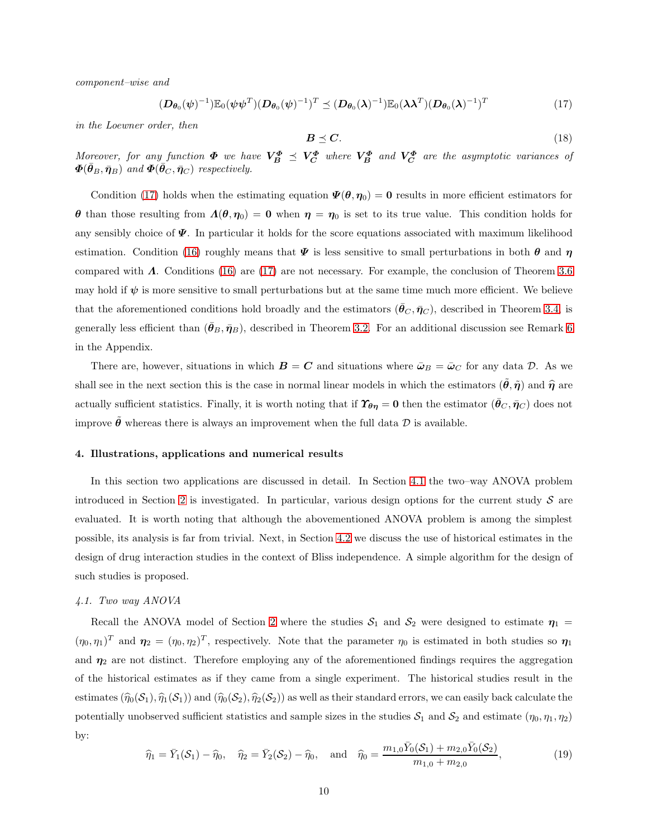component–wise and

<span id="page-9-2"></span>
$$
(\boldsymbol{D}_{\boldsymbol{\theta}_0}(\boldsymbol{\psi})^{-1}) \mathbb{E}_0(\boldsymbol{\psi}\boldsymbol{\psi}^T) (\boldsymbol{D}_{\boldsymbol{\theta}_0}(\boldsymbol{\psi})^{-1})^T \preceq (\boldsymbol{D}_{\boldsymbol{\theta}_0}(\boldsymbol{\lambda})^{-1}) \mathbb{E}_0(\boldsymbol{\lambda}\boldsymbol{\lambda}^T) (\boldsymbol{D}_{\boldsymbol{\theta}_0}(\boldsymbol{\lambda})^{-1})^T
$$
(17)

in the Loewner order, then

$$
B \preceq C. \tag{18}
$$

Moreover, for any function  $\Phi$  we have  $V_{B}^{\Phi} \preceq V_{C}^{\Phi}$  where  $V_{B}^{\Phi}$  and  $V_{C}^{\Phi}$  are the asymptotic variances of  $\boldsymbol{\Phi}(\bar{\boldsymbol{\theta}}_B, \bar{\boldsymbol{\eta}}_B)$  and  $\boldsymbol{\Phi}(\bar{\boldsymbol{\theta}}_C, \bar{\boldsymbol{\eta}}_C)$  respectively.

Condition [\(17\)](#page-9-2) holds when the estimating equation  $\Psi(\theta, \eta_0) = 0$  results in more efficient estimators for θ than those resulting from  $Λ(θ, η<sub>0</sub>) = 0$  when  $η = η<sub>0</sub>$  is set to its true value. This condition holds for any sensibly choice of  $\mathbf{\Psi}$ . In particular it holds for the score equations associated with maximum likelihood estimation. Condition [\(16\)](#page-8-2) roughly means that  $\Psi$  is less sensitive to small perturbations in both  $\theta$  and  $\eta$ compared with Λ. Conditions [\(16\)](#page-8-2) are [\(17\)](#page-9-2) are not necessary. For example, the conclusion of Theorem [3.6](#page-8-1) may hold if  $\psi$  is more sensitive to small perturbations but at the same time much more efficient. We believe that the aforementioned conditions hold broadly and the estimators  $(\theta_C, \bar{\eta}_C)$ , described in Theorem [3.4,](#page-7-0) is generally less efficient than  $(\bar{\theta}_B, \bar{\eta}_B)$ , described in Theorem [3.2.](#page-6-0) For an additional discussion see Remark [6](#page-28-0) in the Appendix.

There are, however, situations in which  $\mathbf{B} = \mathbf{C}$  and situations where  $\bar{\boldsymbol{\omega}}_B = \bar{\boldsymbol{\omega}}_C$  for any data  $\mathcal{D}$ . As we shall see in the next section this is the case in normal linear models in which the estimators  $(\hat{\theta}, \hat{\eta})$  and  $\hat{\eta}$  are actually sufficient statistics. Finally, it is worth noting that if  $\mathcal{T}_{\theta\eta} = 0$  then the estimator  $(\bar{\theta}_C, \bar{\eta}_C)$  does not improve  $\hat{\theta}$  whereas there is always an improvement when the full data  $\hat{\mathcal{D}}$  is available.

# <span id="page-9-0"></span>4. Illustrations, applications and numerical results

In this section two applications are discussed in detail. In Section [4.1](#page-9-1) the two–way ANOVA problem introduced in Section [2](#page-2-0) is investigated. In particular, various design options for the current study  $S$  are evaluated. It is worth noting that although the abovementioned ANOVA problem is among the simplest possible, its analysis is far from trivial. Next, in Section [4.2](#page-13-0) we discuss the use of historical estimates in the design of drug interaction studies in the context of Bliss independence. A simple algorithm for the design of such studies is proposed.

# <span id="page-9-1"></span>4.1. Two way ANOVA

Recall the ANOVA model of Section [2](#page-2-0) where the studies  $S_1$  and  $S_2$  were designed to estimate  $\eta_1$  =  $(\eta_0, \eta_1)^T$  and  $\eta_2 = (\eta_0, \eta_2)^T$ , respectively. Note that the parameter  $\eta_0$  is estimated in both studies so  $\eta_1$ and  $\eta_2$  are not distinct. Therefore employing any of the aforementioned findings requires the aggregation of the historical estimates as if they came from a single experiment. The historical studies result in the estimates  $(\widehat{\eta}_0(\mathcal{S}_1), \widehat{\eta}_1(\mathcal{S}_1))$  and  $(\widehat{\eta}_0(\mathcal{S}_2), \widehat{\eta}_2(\mathcal{S}_2))$  as well as their standard errors, we can easily back calculate the potentially unobserved sufficient statistics and sample sizes in the studies  $S_1$  and  $S_2$  and estimate  $(\eta_0, \eta_1, \eta_2)$ by:

$$
\widehat{\eta}_1 = \bar{Y}_1(\mathcal{S}_1) - \widehat{\eta}_0, \quad \widehat{\eta}_2 = \bar{Y}_2(\mathcal{S}_2) - \widehat{\eta}_0, \quad \text{and} \quad \widehat{\eta}_0 = \frac{m_{1,0}\bar{Y}_0(\mathcal{S}_1) + m_{2,0}\bar{Y}_0(\mathcal{S}_2)}{m_{1,0} + m_{2,0}},
$$
\n(19)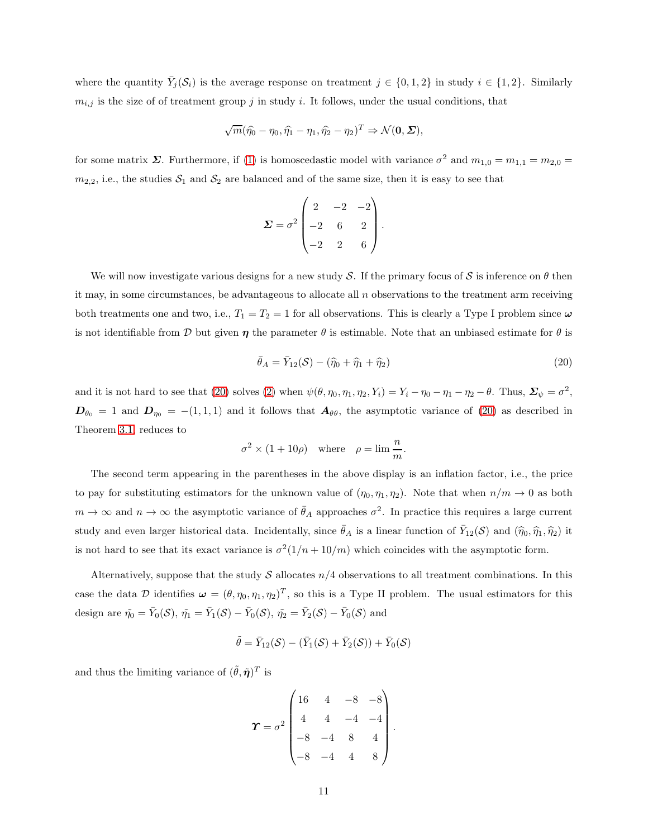where the quantity  $\bar{Y}_j(\mathcal{S}_i)$  is the average response on treatment  $j \in \{0,1,2\}$  in study  $i \in \{1,2\}$ . Similarly  $m_{i,j}$  is the size of of treatment group j in study i. It follows, under the usual conditions, that

$$
\sqrt{m}(\widehat{\eta_0}-\eta_0,\widehat{\eta_1}-\eta_1,\widehat{\eta_2}-\eta_2)^T \Rightarrow \mathcal{N}(\mathbf{0},\boldsymbol{\Sigma}),
$$

for some matrix  $\Sigma$ . Furthermore, if [\(1\)](#page-3-3) is homoscedastic model with variance  $\sigma^2$  and  $m_{1,0} = m_{1,1} = m_{2,0} =$  $m_{2,2}$ , i.e., the studies  $S_1$  and  $S_2$  are balanced and of the same size, then it is easy to see that

$$
\mathbf{\Sigma} = \sigma^2 \begin{pmatrix} 2 & -2 & -2 \\ -2 & 6 & 2 \\ -2 & 2 & 6 \end{pmatrix}.
$$

We will now investigate various designs for a new study S. If the primary focus of S is inference on  $\theta$  then it may, in some circumstances, be advantageous to allocate all  $n$  observations to the treatment arm receiving both treatments one and two, i.e.,  $T_1 = T_2 = 1$  for all observations. This is clearly a Type I problem since  $\omega$ is not identifiable from D but given  $\eta$  the parameter  $\theta$  is estimable. Note that an unbiased estimate for  $\theta$  is

<span id="page-10-0"></span>
$$
\bar{\theta}_A = \bar{Y}_{12}(\mathcal{S}) - (\widehat{\eta}_0 + \widehat{\eta}_1 + \widehat{\eta}_2) \tag{20}
$$

and it is not hard to see that [\(20\)](#page-10-0) solves [\(2\)](#page-3-1) when  $\psi(\theta, \eta_0, \eta_1, \eta_2, Y_i) = Y_i - \eta_0 - \eta_1 - \eta_2 - \theta$ . Thus,  $\Sigma_{\psi} = \sigma^2$ ,  $D_{\theta_0} = 1$  and  $D_{\eta_0} = -(1, 1, 1)$  and it follows that  $A_{\theta\theta}$ , the asymptotic variance of [\(20\)](#page-10-0) as described in Theorem [3.1,](#page-4-0) reduces to

$$
\sigma^2 \times (1 + 10\rho) \quad \text{where} \quad \rho = \lim \frac{n}{m}.
$$

The second term appearing in the parentheses in the above display is an inflation factor, i.e., the price to pay for substituting estimators for the unknown value of  $(\eta_0, \eta_1, \eta_2)$ . Note that when  $n/m \to 0$  as both  $m \to \infty$  and  $n \to \infty$  the asymptotic variance of  $\bar{\theta}_A$  approaches  $\sigma^2$ . In practice this requires a large current study and even larger historical data. Incidentally, since  $\bar{\theta}_A$  is a linear function of  $\bar{Y}_{12}(\mathcal{S})$  and  $(\hat{\eta}_0, \hat{\eta}_1, \hat{\eta}_2)$  it is not hard to see that its exact variance is  $\sigma^2(1/n + 10/m)$  which coincides with the asymptotic form.

Alternatively, suppose that the study  $S$  allocates  $n/4$  observations to all treatment combinations. In this case the data D identifies  $\boldsymbol{\omega} = (\theta, \eta_0, \eta_1, \eta_2)^T$ , so this is a Type II problem. The usual estimators for this design are  $\tilde{\eta}_0 = \bar{Y}_0(\mathcal{S}), \tilde{\eta}_1 = \bar{Y}_1(\mathcal{S}) - \bar{Y}_0(\mathcal{S}), \tilde{\eta}_2 = \bar{Y}_2(\mathcal{S}) - \bar{Y}_0(\mathcal{S})$  and

$$
\tilde{\theta} = \bar{Y}_{12}(\mathcal{S}) - (\bar{Y}_1(\mathcal{S}) + \bar{Y}_2(\mathcal{S})) + \bar{Y}_0(\mathcal{S})
$$

and thus the limiting variance of  $(\tilde{\theta}, \tilde{\boldsymbol{\eta}})^T$  is

$$
\boldsymbol{\Upsilon} = \sigma^2 \begin{pmatrix} 16 & 4 & -8 & -8 \\ 4 & 4 & -4 & -4 \\ -8 & -4 & 8 & 4 \\ -8 & -4 & 4 & 8 \end{pmatrix}.
$$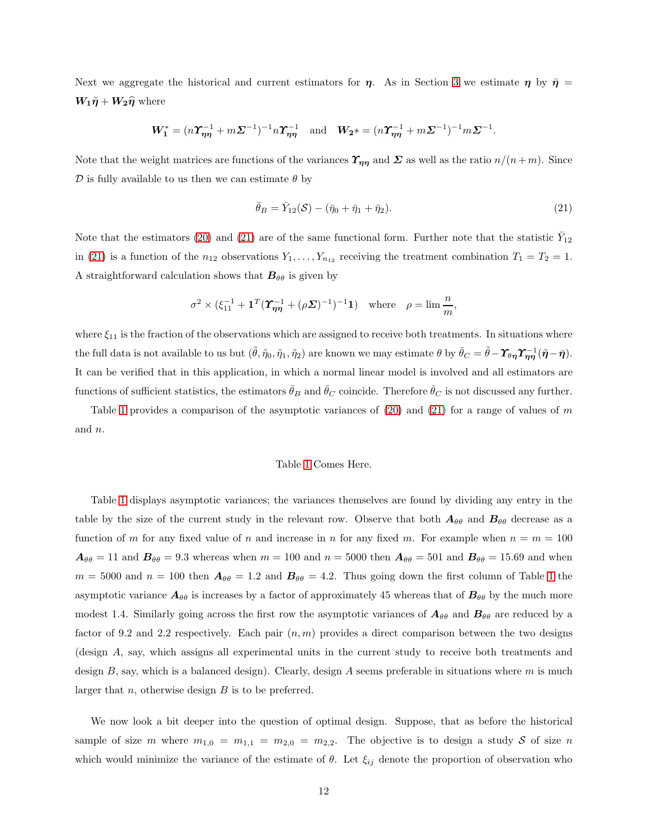Next we aggregate the historical and current estimators for  $\eta$ . As in Section [3](#page-3-0) we estimate  $\eta$  by  $\bar{\eta}$  =  $W_1\tilde{\eta} + W_2\hat{\eta}$  where

$$
\mathbf{W}_{1}^{*} = (n\mathbf{\Upsilon}_{\boldsymbol{\eta\eta}}^{-1} + m\mathbf{\Sigma}^{-1})^{-1}n\mathbf{\Upsilon}_{\boldsymbol{\eta\eta}}^{-1} \text{ and } \mathbf{W}_{2}^{*} = (n\mathbf{\Upsilon}_{\boldsymbol{\eta\eta}}^{-1} + m\mathbf{\Sigma}^{-1})^{-1}m\mathbf{\Sigma}^{-1}.
$$

Note that the weight matrices are functions of the variances  $\Upsilon_{\eta\eta}$  and  $\Sigma$  as well as the ratio  $n/(n+m)$ . Since  $\mathcal D$  is fully available to us then we can estimate  $\theta$  by

<span id="page-11-0"></span>
$$
\bar{\theta}_B = \bar{Y}_{12}(\mathcal{S}) - (\bar{\eta}_0 + \bar{\eta}_1 + \bar{\eta}_2). \tag{21}
$$

Note that the estimators [\(20\)](#page-10-0) and [\(21\)](#page-11-0) are of the same functional form. Further note that the statistic  $\bar{Y}_{12}$ in [\(21\)](#page-11-0) is a function of the  $n_{12}$  observations  $Y_1, \ldots, Y_{n_{12}}$  receiving the treatment combination  $T_1 = T_2 = 1$ . A straightforward calculation shows that  $B_{\theta\theta}$  is given by

$$
\sigma^2 \times (\xi_{11}^{-1} + \mathbf{1}^T (\pmb{\Upsilon}_{\pmb{\eta}\pmb{\eta}}^{-1} + (\rho \pmb{\Sigma})^{-1})^{-1} \mathbf{1}) \quad \text{where} \quad \rho = \lim \frac{n}{m},
$$

where  $\xi_{11}$  is the fraction of the observations which are assigned to receive both treatments. In situations where the full data is not available to us but  $(\tilde{\theta}, \tilde{\eta}_0, \tilde{\eta}_1, \tilde{\eta}_2)$  are known we may estimate  $\theta$  by  $\bar{\theta}_C = \tilde{\theta} - \Upsilon_{\theta\eta} \Upsilon_{\eta\eta}^{-1} (\tilde{\eta} - \bar{\eta})$ . It can be verified that in this application, in which a normal linear model is involved and all estimators are functions of sufficient statistics, the estimators  $\bar{\theta}_B$  and  $\bar{\theta}_C$  coincide. Therefore  $\bar{\theta}_C$  is not discussed any further.

Table [1](#page-21-0) provides a comparison of the asymptotic variances of  $(20)$  and  $(21)$  for a range of values of m and n.

# Table [1](#page-21-0) Comes Here.

Table [1](#page-21-0) displays asymptotic variances; the variances themselves are found by dividing any entry in the table by the size of the current study in the relevant row. Observe that both  $A_{\theta\theta}$  and  $B_{\theta\theta}$  decrease as a function of m for any fixed value of n and increase in n for any fixed m. For example when  $n = m = 100$  $A_{\theta\theta} = 11$  and  $B_{\theta\theta} = 9.3$  whereas when  $m = 100$  and  $n = 5000$  then  $A_{\theta\theta} = 501$  and  $B_{\theta\theta} = 15.69$  and when  $m = 5000$  and  $n = 100$  $n = 100$  $n = 100$  then  $A_{\theta\theta} = 1.2$  and  $B_{\theta\theta} = 4.2$ . Thus going down the first column of Table 1 the asymptotic variance  $A_{\theta\theta}$  is increases by a factor of approximately 45 whereas that of  $B_{\theta\theta}$  by the much more modest 1.4. Similarly going across the first row the asymptotic variances of  $A_{\theta\theta}$  and  $B_{\theta\theta}$  are reduced by a factor of 9.2 and 2.2 respectively. Each pair  $(n, m)$  provides a direct comparison between the two designs (design A, say, which assigns all experimental units in the current study to receive both treatments and design  $B$ , say, which is a balanced design). Clearly, design  $A$  seems preferable in situations where  $m$  is much larger that  $n$ , otherwise design  $B$  is to be preferred.

We now look a bit deeper into the question of optimal design. Suppose, that as before the historical sample of size m where  $m_{1,0} = m_{1,1} = m_{2,0} = m_{2,2}$ . The objective is to design a study S of size n which would minimize the variance of the estimate of  $\theta$ . Let  $\xi_{ij}$  denote the proportion of observation who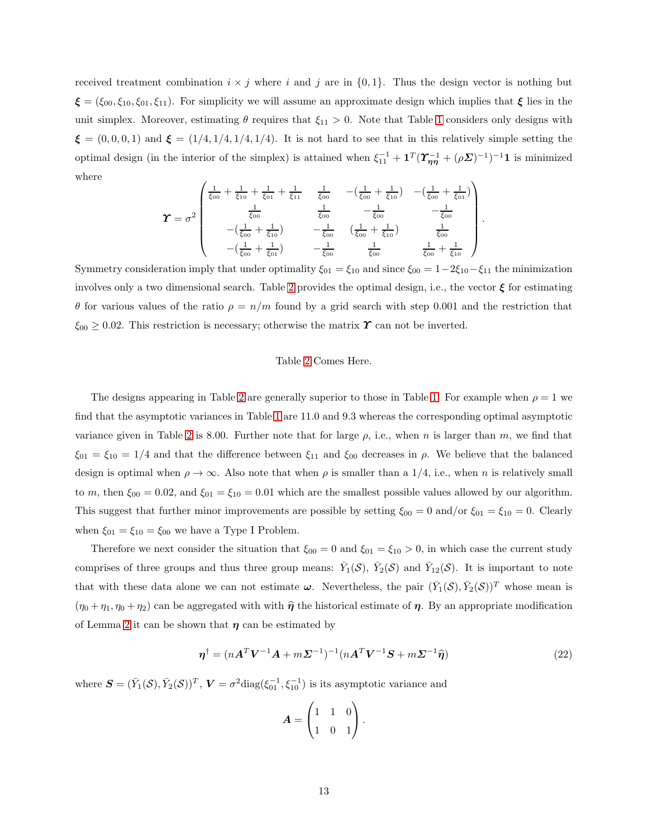received treatment combination  $i \times j$  where i and j are in  $\{0, 1\}$ . Thus the design vector is nothing but  $\boldsymbol{\xi} = (\xi_{00}, \xi_{10}, \xi_{01}, \xi_{11})$ . For simplicity we will assume an approximate design which implies that  $\boldsymbol{\xi}$  lies in the unit simplex. Moreover, estimating  $\theta$  requires that  $\xi_{11} > 0$ . Note that Table [1](#page-21-0) considers only designs with  $\xi = (0, 0, 0, 1)$  and  $\xi = (1/4, 1/4, 1/4, 1/4)$ . It is not hard to see that in this relatively simple setting the optimal design (in the interior of the simplex) is attained when  $\xi_{11}^{-1} + \mathbf{1}^T (\Upsilon_{\eta\eta}^{-1} + (\rho \Sigma)^{-1})^{-1} \mathbf{1}$  is minimized where

$$
\boldsymbol{\Upsilon} = \sigma^2 \begin{pmatrix} \frac{1}{\xi_{00}} + \frac{1}{\xi_{10}} + \frac{1}{\xi_{01}} + \frac{1}{\xi_{11}} & \frac{1}{\xi_{00}} & -(\frac{1}{\xi_{00}} + \frac{1}{\xi_{10}}) & -(\frac{1}{\xi_{00}} + \frac{1}{\xi_{01}}) \\ \frac{1}{\xi_{00}} & \frac{1}{\xi_{00}} & -\frac{1}{\xi_{00}} & -\frac{1}{\xi_{00}} \\ -(\frac{1}{\xi_{00}} + \frac{1}{\xi_{10}}) & -\frac{1}{\xi_{00}} & (\frac{1}{\xi_{00}} + \frac{1}{\xi_{10}}) & \frac{1}{\xi_{00}} \\ -(\frac{1}{\xi_{00}} + \frac{1}{\xi_{01}}) & -\frac{1}{\xi_{00}} & \frac{1}{\xi_{00}} & \frac{1}{\xi_{00}} + \frac{1}{\xi_{10}} \end{pmatrix}.
$$

Symmetry consideration imply that under optimality  $\xi_{01} = \xi_{10}$  and since  $\xi_{00} = 1-2\xi_{10}-\xi_{11}$  the minimization involves only a two dimensional search. Table [2](#page-21-1) provides the optimal design, i.e., the vector  $\xi$  for estimating θ for various values of the ratio ρ = n/m found by a grid search with step 0.001 and the restriction that  $\xi_{00} \geq 0.02$ . This restriction is necessary; otherwise the matrix  $\Upsilon$  can not be inverted.

# Table [2](#page-21-1) Comes Here.

The designs appearing in Table [2](#page-21-1) are generally superior to those in Table [1.](#page-21-0) For example when  $\rho = 1$  we find that the asymptotic variances in Table [1](#page-21-0) are 11.0 and 9.3 whereas the corresponding optimal asymptotic variance given in Table [2](#page-21-1) is 8.00. Further note that for large  $\rho$ , i.e., when n is larger than m, we find that  $\xi_{01} = \xi_{10} = 1/4$  and that the difference between  $\xi_{11}$  and  $\xi_{00}$  decreases in  $\rho$ . We believe that the balanced design is optimal when  $\rho \to \infty$ . Also note that when  $\rho$  is smaller than a 1/4, i.e., when n is relatively small to m, then  $\xi_{00} = 0.02$ , and  $\xi_{01} = \xi_{10} = 0.01$  which are the smallest possible values allowed by our algorithm. This suggest that further minor improvements are possible by setting  $\xi_{00} = 0$  and/or  $\xi_{01} = \xi_{10} = 0$ . Clearly when  $\xi_{01} = \xi_{10} = \xi_{00}$  we have a Type I Problem.

Therefore we next consider the situation that  $\xi_{00} = 0$  and  $\xi_{01} = \xi_{10} > 0$ , in which case the current study comprises of three groups and thus three group means:  $\bar{Y}_1(\mathcal{S})$ ,  $\bar{Y}_2(\mathcal{S})$  and  $\bar{Y}_{12}(\mathcal{S})$ . It is important to note that with these data alone we can not estimate  $\omega$ . Nevertheless, the pair  $(\bar{Y}_1(\mathcal{S}), \bar{Y}_2(\mathcal{S}))^T$  whose mean is  $(\eta_0 + \eta_1, \eta_0 + \eta_2)$  can be aggregated with with  $\hat{\eta}$  the historical estimate of  $\eta$ . By an appropriate modification of Lemma [2](#page-26-0) it can be shown that  $\eta$  can be estimated by

<span id="page-12-0"></span>
$$
\boldsymbol{\eta}^{\dagger} = (n\boldsymbol{A}^T\boldsymbol{V}^{-1}\boldsymbol{A} + m\boldsymbol{\Sigma}^{-1})^{-1}(n\boldsymbol{A}^T\boldsymbol{V}^{-1}\boldsymbol{S} + m\boldsymbol{\Sigma}^{-1}\boldsymbol{\hat{\eta}})
$$
(22)

where  $\mathbf{S} = (\bar{Y}_1(\mathcal{S}), \bar{Y}_2(\mathcal{S}))^T$ ,  $\mathbf{V} = \sigma^2 \text{diag}(\xi_{01}^{-1}, \xi_{10}^{-1})$  is its asymptotic variance and

$$
\boldsymbol{A} = \begin{pmatrix} 1 & 1 & 0 \\ 1 & 0 & 1 \end{pmatrix}.
$$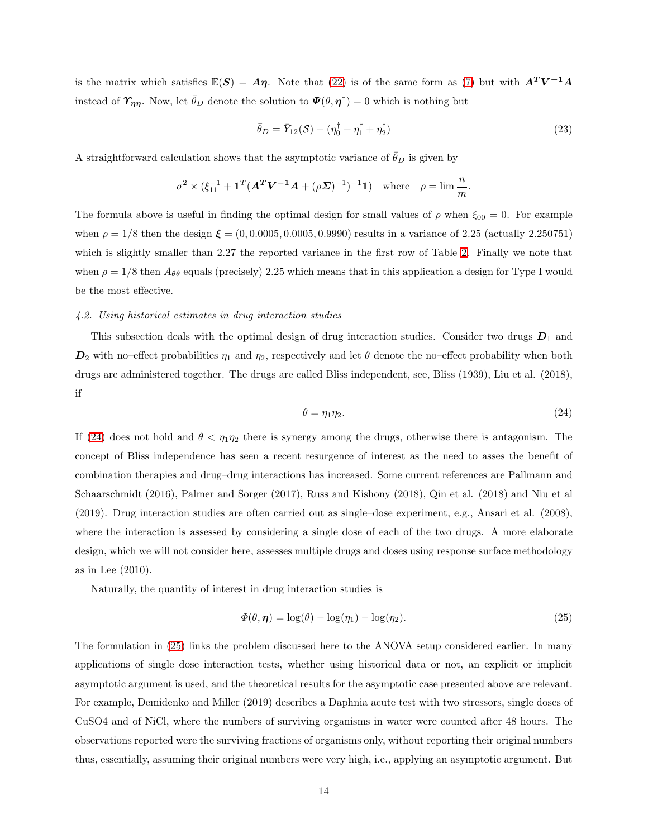is the matrix which satisfies  $\mathbb{E}(S) = A\eta$ . Note that [\(22\)](#page-12-0) is of the same form as [\(7\)](#page-5-0) but with  $A^T V^{-1} A$ instead of  $\pmb{\Upsilon}_{\pmb{\eta}\pmb{\eta}}$ . Now, let  $\bar{\theta}_D$  denote the solution to  $\pmb{\Psi}(\theta, \pmb{\eta}^\dagger) = 0$  which is nothing but

$$
\bar{\theta}_D = \bar{Y}_{12}(\mathcal{S}) - (\eta_0^{\dagger} + \eta_1^{\dagger} + \eta_2^{\dagger})
$$
\n(23)

A straightforward calculation shows that the asymptotic variance of  $\theta_D$  is given by

$$
\sigma^2 \times (\xi_{11}^{-1} + \mathbf{1}^T (\mathbf{A}^T \mathbf{V}^{-1} \mathbf{A} + (\rho \mathbf{\Sigma})^{-1})^{-1} \mathbf{1}) \text{ where } \rho = \lim \frac{n}{m}.
$$

The formula above is useful in finding the optimal design for small values of  $\rho$  when  $\xi_{00} = 0$ . For example when  $\rho = 1/8$  then the design  $\xi = (0, 0.0005, 0.0005, 0.9990)$  results in a variance of 2.25 (actually 2.250751) which is slightly smaller than 2.27 the reported variance in the first row of Table [2.](#page-21-1) Finally we note that when  $\rho = 1/8$  then  $A_{\theta\theta}$  equals (precisely) 2.25 which means that in this application a design for Type I would be the most effective.

#### <span id="page-13-0"></span>4.2. Using historical estimates in drug interaction studies

This subsection deals with the optimal design of drug interaction studies. Consider two drugs  $D_1$  and  $D_2$  with no–effect probabilities  $\eta_1$  and  $\eta_2$ , respectively and let  $\theta$  denote the no–effect probability when both drugs are administered together. The drugs are called Bliss independent, see, Bliss (1939), Liu et al. (2018), if

<span id="page-13-1"></span>
$$
\theta = \eta_1 \eta_2. \tag{24}
$$

If [\(24\)](#page-13-1) does not hold and  $\theta < \eta_1 \eta_2$  there is synergy among the drugs, otherwise there is antagonism. The concept of Bliss independence has seen a recent resurgence of interest as the need to asses the benefit of combination therapies and drug–drug interactions has increased. Some current references are Pallmann and Schaarschmidt (2016), Palmer and Sorger (2017), Russ and Kishony (2018), Qin et al. (2018) and Niu et al (2019). Drug interaction studies are often carried out as single–dose experiment, e.g., Ansari et al. (2008), where the interaction is assessed by considering a single dose of each of the two drugs. A more elaborate design, which we will not consider here, assesses multiple drugs and doses using response surface methodology as in Lee (2010).

Naturally, the quantity of interest in drug interaction studies is

<span id="page-13-2"></span>
$$
\Phi(\theta, \eta) = \log(\theta) - \log(\eta_1) - \log(\eta_2). \tag{25}
$$

The formulation in [\(25\)](#page-13-2) links the problem discussed here to the ANOVA setup considered earlier. In many applications of single dose interaction tests, whether using historical data or not, an explicit or implicit asymptotic argument is used, and the theoretical results for the asymptotic case presented above are relevant. For example, Demidenko and Miller (2019) describes a Daphnia acute test with two stressors, single doses of CuSO4 and of NiCl, where the numbers of surviving organisms in water were counted after 48 hours. The observations reported were the surviving fractions of organisms only, without reporting their original numbers thus, essentially, assuming their original numbers were very high, i.e., applying an asymptotic argument. But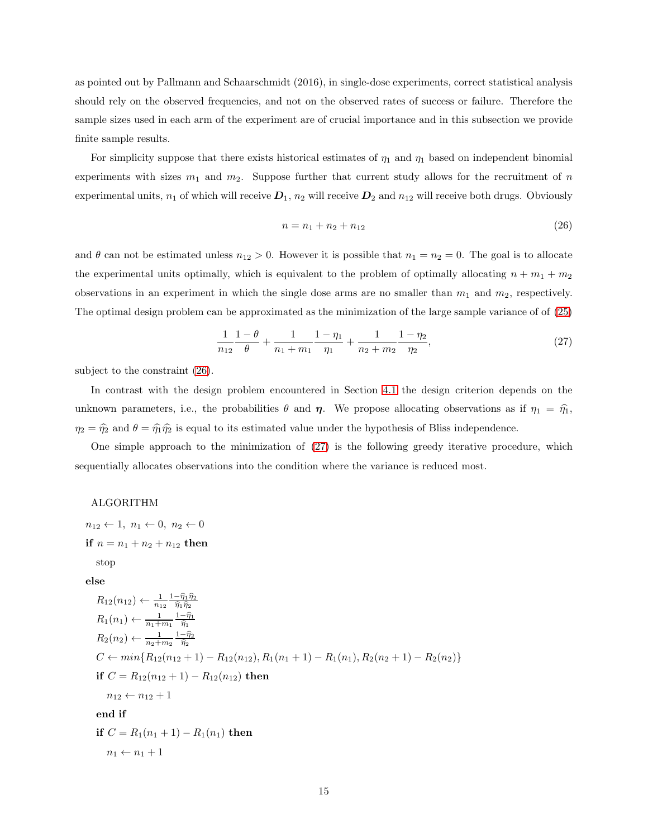as pointed out by Pallmann and Schaarschmidt (2016), in single-dose experiments, correct statistical analysis should rely on the observed frequencies, and not on the observed rates of success or failure. Therefore the sample sizes used in each arm of the experiment are of crucial importance and in this subsection we provide finite sample results.

For simplicity suppose that there exists historical estimates of  $\eta_1$  and  $\eta_1$  based on independent binomial experiments with sizes  $m_1$  and  $m_2$ . Suppose further that current study allows for the recruitment of n experimental units,  $n_1$  of which will receive  $D_1$ ,  $n_2$  will receive  $D_2$  and  $n_{12}$  will receive both drugs. Obviously

<span id="page-14-0"></span>
$$
n = n_1 + n_2 + n_{12} \tag{26}
$$

and  $\theta$  can not be estimated unless  $n_{12} > 0$ . However it is possible that  $n_1 = n_2 = 0$ . The goal is to allocate the experimental units optimally, which is equivalent to the problem of optimally allocating  $n + m_1 + m_2$ observations in an experiment in which the single dose arms are no smaller than  $m_1$  and  $m_2$ , respectively. The optimal design problem can be approximated as the minimization of the large sample variance of of [\(25\)](#page-13-2)

<span id="page-14-1"></span>
$$
\frac{1}{n_{12}}\frac{1-\theta}{\theta} + \frac{1}{n_1 + m_1}\frac{1-\eta_1}{\eta_1} + \frac{1}{n_2 + m_2}\frac{1-\eta_2}{\eta_2},\tag{27}
$$

subject to the constraint [\(26\)](#page-14-0).

In contrast with the design problem encountered in Section [4.1](#page-9-1) the design criterion depends on the unknown parameters, i.e., the probabilities  $\theta$  and  $\eta$ . We propose allocating observations as if  $\eta_1 = \hat{\eta}_1$ ,  $\eta_2 = \hat{\eta}_2$  and  $\theta = \hat{\eta}_1 \hat{\eta}_2$  is equal to its estimated value under the hypothesis of Bliss independence.

One simple approach to the minimization of [\(27\)](#page-14-1) is the following greedy iterative procedure, which sequentially allocates observations into the condition where the variance is reduced most.

#### ALGORITHM

 $n_{12} \leftarrow 1, n_1 \leftarrow 0, n_2 \leftarrow 0$ if  $n = n_1 + n_2 + n_{12}$  then stop

else

$$
R_{12}(n_{12}) \leftarrow \frac{1}{n_{12}} \frac{1 - \hat{\eta}_1 \hat{\eta}_2}{\hat{\eta}_1 \hat{\eta}_2}
$$
  
\n
$$
R_1(n_1) \leftarrow \frac{1}{n_1 + m_1} \frac{1 - \hat{\eta}_1}{\hat{\eta}_1}
$$
  
\n
$$
R_2(n_2) \leftarrow \frac{1}{n_2 + m_2} \frac{1 - \hat{\eta}_2}{\hat{\eta}_2}
$$
  
\n
$$
C \leftarrow min\{R_{12}(n_{12} + 1) - R_{12}(n_{12}), R_1(n_1 + 1) - R_1(n_1), R_2(n_2 + 1) - R_2(n_2)\}
$$
  
\nif  $C = R_{12}(n_{12} + 1) - R_{12}(n_{12})$  then  
\n
$$
n_{12} \leftarrow n_{12} + 1
$$
  
\nend if  
\nif  $C = R_1(n_1 + 1) - R_1(n_1)$  then  
\n
$$
n_1 \leftarrow n_1 + 1
$$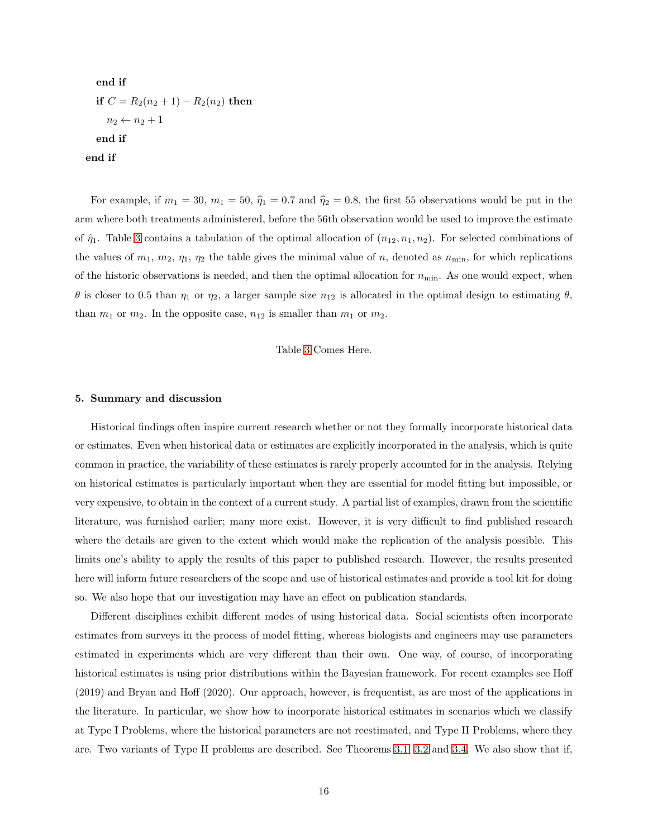end if if  $C = R_2(n_2 + 1) - R_2(n_2)$  then  $n_2 \leftarrow n_2 + 1$ end if end if

For example, if  $m_1 = 30$ ,  $m_1 = 50$ ,  $\hat{\eta}_1 = 0.7$  and  $\hat{\eta}_2 = 0.8$ , the first 55 observations would be put in the arm where both treatments administered, before the 56th observation would be used to improve the estimate of  $\hat{\eta}_1$ . Table [3](#page-22-0) contains a tabulation of the optimal allocation of  $(n_{12}, n_1, n_2)$ . For selected combinations of the values of  $m_1$ ,  $m_2$ ,  $\eta_1$ ,  $\eta_2$  the table gives the minimal value of n, denoted as  $n_{\text{min}}$ , for which replications of the historic observations is needed, and then the optimal allocation for  $n_{\min}$ . As one would expect, when θ is closer to 0.5 than  $η_1$  or  $η_2$ , a larger sample size  $n_{12}$  is allocated in the optimal design to estimating  $θ$ , than  $m_1$  or  $m_2$ . In the opposite case,  $n_{12}$  is smaller than  $m_1$  or  $m_2$ .

Table [3](#page-22-0) Comes Here.

#### <span id="page-15-0"></span>5. Summary and discussion

Historical findings often inspire current research whether or not they formally incorporate historical data or estimates. Even when historical data or estimates are explicitly incorporated in the analysis, which is quite common in practice, the variability of these estimates is rarely properly accounted for in the analysis. Relying on historical estimates is particularly important when they are essential for model fitting but impossible, or very expensive, to obtain in the context of a current study. A partial list of examples, drawn from the scientific literature, was furnished earlier; many more exist. However, it is very difficult to find published research where the details are given to the extent which would make the replication of the analysis possible. This limits one's ability to apply the results of this paper to published research. However, the results presented here will inform future researchers of the scope and use of historical estimates and provide a tool kit for doing so. We also hope that our investigation may have an effect on publication standards.

Different disciplines exhibit different modes of using historical data. Social scientists often incorporate estimates from surveys in the process of model fitting, whereas biologists and engineers may use parameters estimated in experiments which are very different than their own. One way, of course, of incorporating historical estimates is using prior distributions within the Bayesian framework. For recent examples see Hoff (2019) and Bryan and Hoff (2020). Our approach, however, is frequentist, as are most of the applications in the literature. In particular, we show how to incorporate historical estimates in scenarios which we classify at Type I Problems, where the historical parameters are not reestimated, and Type II Problems, where they are. Two variants of Type II problems are described. See Theorems [3.1,](#page-4-0) [3.2](#page-6-0) and [3.4.](#page-7-0) We also show that if,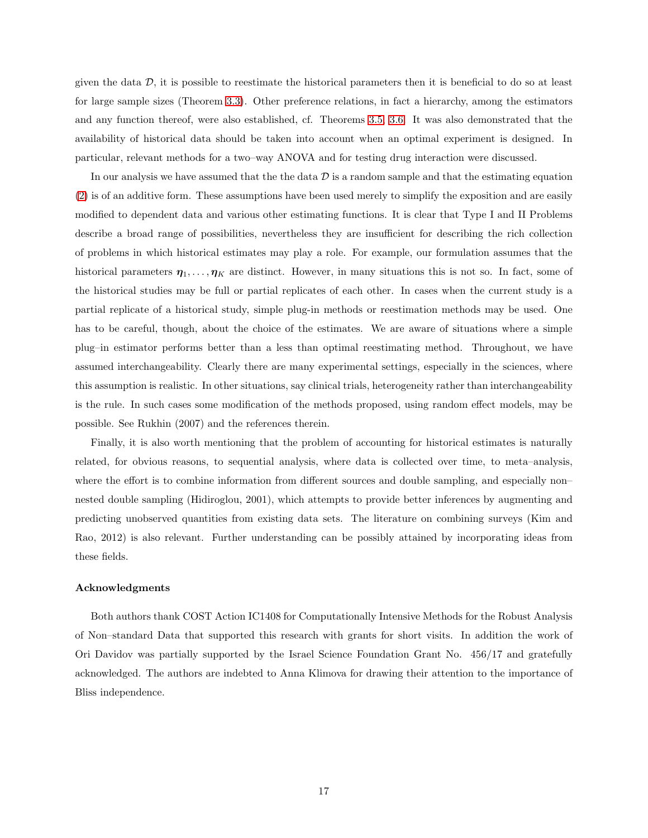given the data  $\mathcal{D}$ , it is possible to reestimate the historical parameters then it is beneficial to do so at least for large sample sizes (Theorem [3.3\)](#page-6-1). Other preference relations, in fact a hierarchy, among the estimators and any function thereof, were also established, cf. Theorems [3.5,](#page-8-0) [3.6.](#page-8-1) It was also demonstrated that the availability of historical data should be taken into account when an optimal experiment is designed. In particular, relevant methods for a two–way ANOVA and for testing drug interaction were discussed.

In our analysis we have assumed that the the data  $\mathcal D$  is a random sample and that the estimating equation [\(2\)](#page-3-1) is of an additive form. These assumptions have been used merely to simplify the exposition and are easily modified to dependent data and various other estimating functions. It is clear that Type I and II Problems describe a broad range of possibilities, nevertheless they are insufficient for describing the rich collection of problems in which historical estimates may play a role. For example, our formulation assumes that the historical parameters  $\eta_1, \ldots, \eta_K$  are distinct. However, in many situations this is not so. In fact, some of the historical studies may be full or partial replicates of each other. In cases when the current study is a partial replicate of a historical study, simple plug-in methods or reestimation methods may be used. One has to be careful, though, about the choice of the estimates. We are aware of situations where a simple plug–in estimator performs better than a less than optimal reestimating method. Throughout, we have assumed interchangeability. Clearly there are many experimental settings, especially in the sciences, where this assumption is realistic. In other situations, say clinical trials, heterogeneity rather than interchangeability is the rule. In such cases some modification of the methods proposed, using random effect models, may be possible. See Rukhin (2007) and the references therein.

Finally, it is also worth mentioning that the problem of accounting for historical estimates is naturally related, for obvious reasons, to sequential analysis, where data is collected over time, to meta–analysis, where the effort is to combine information from different sources and double sampling, and especially non– nested double sampling (Hidiroglou, 2001), which attempts to provide better inferences by augmenting and predicting unobserved quantities from existing data sets. The literature on combining surveys (Kim and Rao, 2012) is also relevant. Further understanding can be possibly attained by incorporating ideas from these fields.

## Acknowledgments

Both authors thank COST Action IC1408 for Computationally Intensive Methods for the Robust Analysis of Non–standard Data that supported this research with grants for short visits. In addition the work of Ori Davidov was partially supported by the Israel Science Foundation Grant No. 456/17 and gratefully acknowledged. The authors are indebted to Anna Klimova for drawing their attention to the importance of Bliss independence.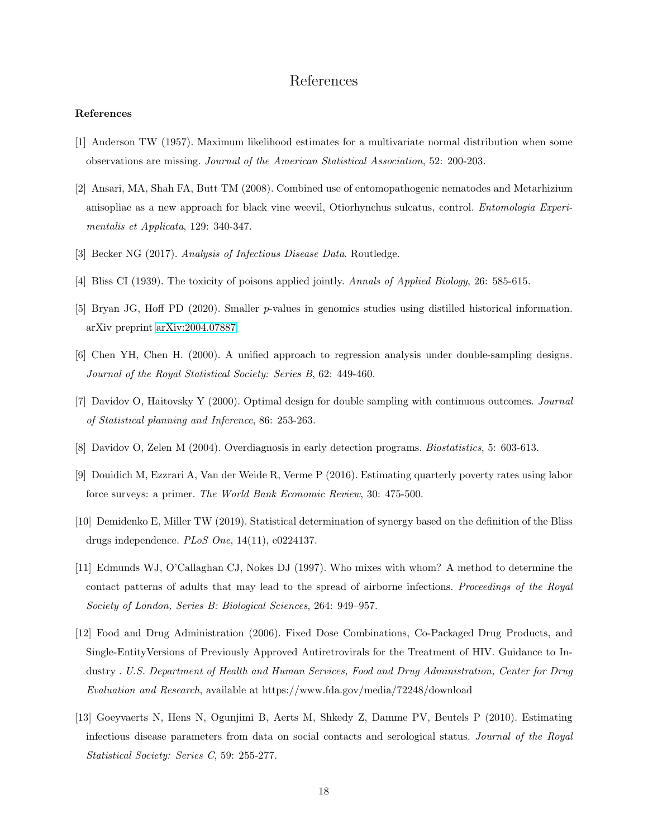# References

#### References

- [1] Anderson TW (1957). Maximum likelihood estimates for a multivariate normal distribution when some observations are missing. Journal of the American Statistical Association, 52: 200-203.
- [2] Ansari, MA, Shah FA, Butt TM (2008). Combined use of entomopathogenic nematodes and Metarhizium anisopliae as a new approach for black vine weevil, Otiorhynchus sulcatus, control. *Entomologia Experi*mentalis et Applicata, 129: 340-347.
- [3] Becker NG (2017). Analysis of Infectious Disease Data. Routledge.
- [4] Bliss CI (1939). The toxicity of poisons applied jointly. Annals of Applied Biology, 26: 585-615.
- [5] Bryan JG, Hoff PD (2020). Smaller p-values in genomics studies using distilled historical information. arXiv preprint [arXiv:2004.07887.](http://arxiv.org/abs/2004.07887)
- [6] Chen YH, Chen H. (2000). A unified approach to regression analysis under double-sampling designs. Journal of the Royal Statistical Society: Series B, 62: 449-460.
- [7] Davidov O, Haitovsky Y (2000). Optimal design for double sampling with continuous outcomes. Journal of Statistical planning and Inference, 86: 253-263.
- [8] Davidov O, Zelen M (2004). Overdiagnosis in early detection programs. Biostatistics, 5: 603-613.
- [9] Douidich M, Ezzrari A, Van der Weide R, Verme P (2016). Estimating quarterly poverty rates using labor force surveys: a primer. The World Bank Economic Review, 30: 475-500.
- [10] Demidenko E, Miller TW (2019). Statistical determination of synergy based on the definition of the Bliss drugs independence. PLoS One, 14(11), e0224137.
- [11] Edmunds WJ, O'Callaghan CJ, Nokes DJ (1997). Who mixes with whom? A method to determine the contact patterns of adults that may lead to the spread of airborne infections. Proceedings of the Royal Society of London, Series B: Biological Sciences, 264: 949–957.
- [12] Food and Drug Administration (2006). Fixed Dose Combinations, Co-Packaged Drug Products, and Single-EntityVersions of Previously Approved Antiretrovirals for the Treatment of HIV. Guidance to Industry . U.S. Department of Health and Human Services, Food and Drug Administration, Center for Drug Evaluation and Research, available at https://www.fda.gov/media/72248/download
- [13] Goeyvaerts N, Hens N, Ogunjimi B, Aerts M, Shkedy Z, Damme PV, Beutels P (2010). Estimating infectious disease parameters from data on social contacts and serological status. Journal of the Royal Statistical Society: Series C, 59: 255-277.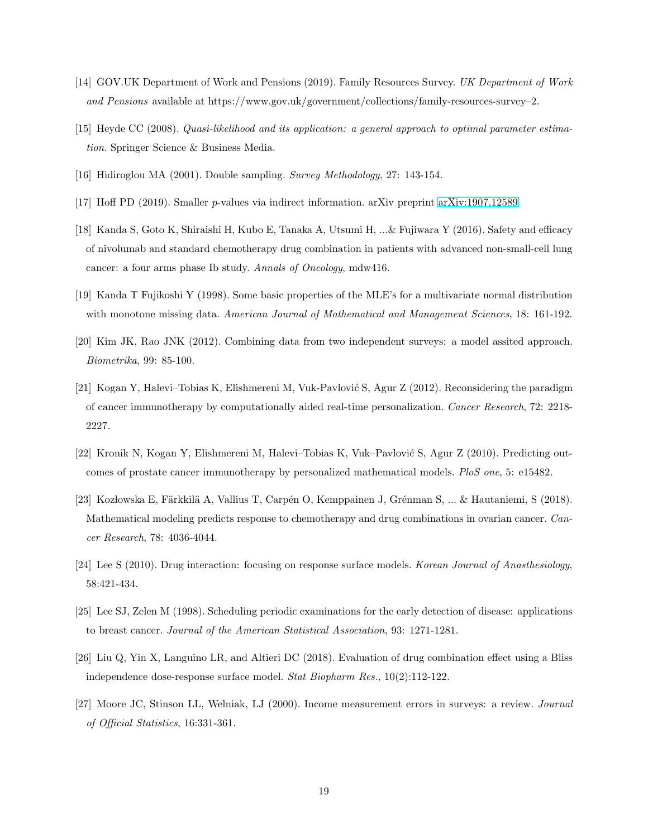- [14] GOV.UK Department of Work and Pensions (2019). Family Resources Survey. UK Department of Work and Pensions available at https://www.gov.uk/government/collections/family-resources-survey–2.
- [15] Heyde CC (2008). Quasi-likelihood and its application: a general approach to optimal parameter estimation. Springer Science & Business Media.
- [16] Hidiroglou MA (2001). Double sampling. Survey Methodology, 27: 143-154.
- [17] Hoff PD (2019). Smaller p-values via indirect information. arXiv preprint [arXiv:1907.12589.](http://arxiv.org/abs/1907.12589)
- [18] Kanda S, Goto K, Shiraishi H, Kubo E, Tanaka A, Utsumi H, ...& Fujiwara Y (2016). Safety and efficacy of nivolumab and standard chemotherapy drug combination in patients with advanced non-small-cell lung cancer: a four arms phase Ib study. Annals of Oncology, mdw416.
- [19] Kanda T Fujikoshi Y (1998). Some basic properties of the MLE's for a multivariate normal distribution with monotone missing data. American Journal of Mathematical and Management Sciences, 18: 161-192.
- [20] Kim JK, Rao JNK (2012). Combining data from two independent surveys: a model assited approach. Biometrika, 99: 85-100.
- [21] Kogan Y, Halevi–Tobias K, Elishmereni M, Vuk-Pavlović S, Agur Z (2012). Reconsidering the paradigm of cancer immunotherapy by computationally aided real-time personalization. Cancer Research, 72: 2218- 2227.
- [22] Kronik N, Kogan Y, Elishmereni M, Halevi–Tobias K, Vuk–Pavlović S, Agur Z (2010). Predicting outcomes of prostate cancer immunotherapy by personalized mathematical models. PloS one, 5: e15482.
- [23] Kozłowska E, Färkkilä A, Vallius T, Carpén O, Kemppainen J, Grénman S, ... & Hautaniemi, S (2018). Mathematical modeling predicts response to chemotherapy and drug combinations in ovarian cancer. Cancer Research, 78: 4036-4044.
- [24] Lee S (2010). Drug interaction: focusing on response surface models. Korean Journal of Anasthesiology, 58:421-434.
- [25] Lee SJ, Zelen M (1998). Scheduling periodic examinations for the early detection of disease: applications to breast cancer. Journal of the American Statistical Association, 93: 1271-1281.
- [26] Liu Q, Yin X, Languino LR, and Altieri DC (2018). Evaluation of drug combination effect using a Bliss independence dose-response surface model. Stat Biopharm Res., 10(2):112-122.
- [27] Moore JC, Stinson LL, Welniak, LJ (2000). Income measurement errors in surveys: a review. Journal of Official Statistics, 16:331-361.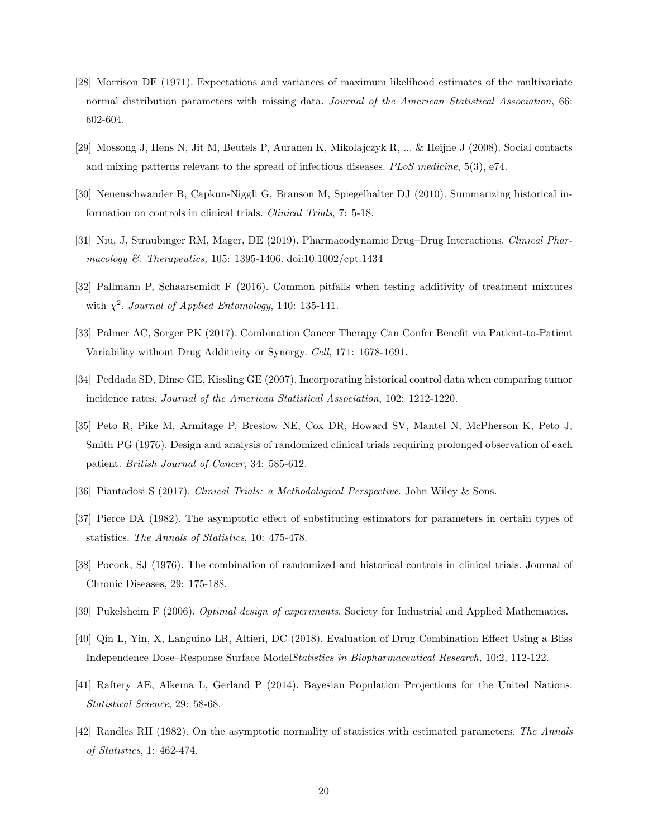- [28] Morrison DF (1971). Expectations and variances of maximum likelihood estimates of the multivariate normal distribution parameters with missing data. Journal of the American Statistical Association, 66: 602-604.
- [29] Mossong J, Hens N, Jit M, Beutels P, Auranen K, Mikolajczyk R, ... & Heijne J (2008). Social contacts and mixing patterns relevant to the spread of infectious diseases.  $PLoS$  medicine, 5(3), e74.
- [30] Neuenschwander B, Capkun-Niggli G, Branson M, Spiegelhalter DJ (2010). Summarizing historical information on controls in clinical trials. Clinical Trials, 7: 5-18.
- [31] Niu, J, Straubinger RM, Mager, DE (2019). Pharmacodynamic Drug–Drug Interactions. Clinical Pharmacology &. Therapeutics, 105: 1395-1406. doi:10.1002/cpt.1434
- [32] Pallmann P, Schaarscmidt F (2016). Common pitfalls when testing additivity of treatment mixtures with  $\chi^2$ . Journal of Applied Entomology, 140: 135-141.
- [33] Palmer AC, Sorger PK (2017). Combination Cancer Therapy Can Confer Benefit via Patient-to-Patient Variability without Drug Additivity or Synergy. Cell, 171: 1678-1691.
- [34] Peddada SD, Dinse GE, Kissling GE (2007). Incorporating historical control data when comparing tumor incidence rates. Journal of the American Statistical Association, 102: 1212-1220.
- [35] Peto R, Pike M, Armitage P, Breslow NE, Cox DR, Howard SV, Mantel N, McPherson K, Peto J, Smith PG (1976). Design and analysis of randomized clinical trials requiring prolonged observation of each patient. British Journal of Cancer, 34: 585-612.
- [36] Piantadosi S (2017). Clinical Trials: a Methodological Perspective. John Wiley & Sons.
- [37] Pierce DA (1982). The asymptotic effect of substituting estimators for parameters in certain types of statistics. The Annals of Statistics, 10: 475-478.
- [38] Pocock, SJ (1976). The combination of randomized and historical controls in clinical trials. Journal of Chronic Diseases, 29: 175-188.
- [39] Pukelsheim F (2006). Optimal design of experiments. Society for Industrial and Applied Mathematics.
- [40] Qin L, Yin, X, Languino LR, Altieri, DC (2018). Evaluation of Drug Combination Effect Using a Bliss Independence Dose–Response Surface ModelStatistics in Biopharmaceutical Research, 10:2, 112-122.
- [41] Raftery AE, Alkema L, Gerland P (2014). Bayesian Population Projections for the United Nations. Statistical Science, 29: 58-68.
- [42] Randles RH (1982). On the asymptotic normality of statistics with estimated parameters. The Annals of Statistics, 1: 462-474.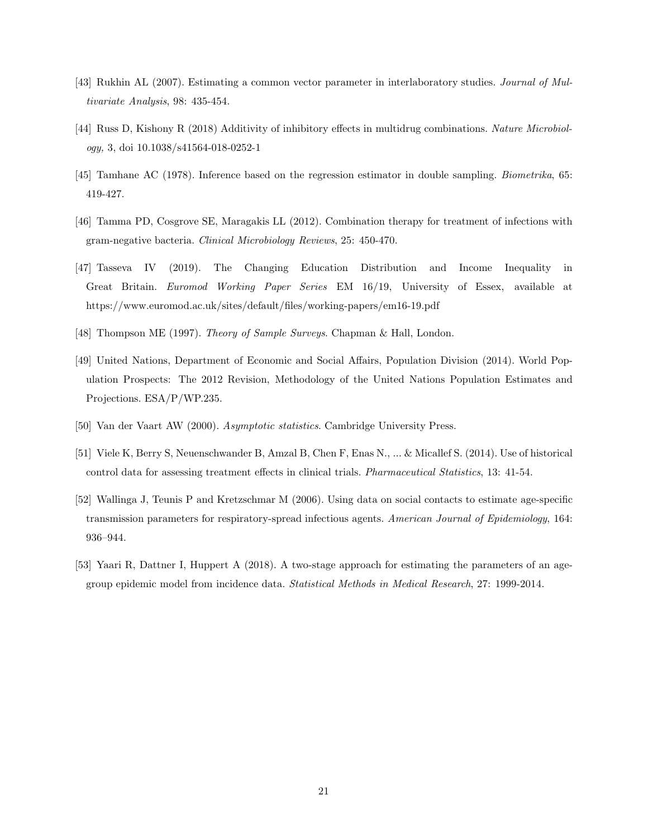- [43] Rukhin AL (2007). Estimating a common vector parameter in interlaboratory studies. Journal of Multivariate Analysis, 98: 435-454.
- [44] Russ D, Kishony R (2018) Additivity of inhibitory effects in multidrug combinations. Nature Microbiology, 3, doi 10.1038/s41564-018-0252-1
- [45] Tamhane AC (1978). Inference based on the regression estimator in double sampling. Biometrika, 65: 419-427.
- [46] Tamma PD, Cosgrove SE, Maragakis LL (2012). Combination therapy for treatment of infections with gram-negative bacteria. Clinical Microbiology Reviews, 25: 450-470.
- [47] Tasseva IV (2019). The Changing Education Distribution and Income Inequality in Great Britain. Euromod Working Paper Series EM 16/19, University of Essex, available at https://www.euromod.ac.uk/sites/default/files/working-papers/em16-19.pdf
- [48] Thompson ME (1997). Theory of Sample Surveys. Chapman & Hall, London.
- [49] United Nations, Department of Economic and Social Affairs, Population Division (2014). World Population Prospects: The 2012 Revision, Methodology of the United Nations Population Estimates and Projections. ESA/P/WP.235.
- [50] Van der Vaart AW (2000). Asymptotic statistics. Cambridge University Press.
- [51] Viele K, Berry S, Neuenschwander B, Amzal B, Chen F, Enas N., ... & Micallef S. (2014). Use of historical control data for assessing treatment effects in clinical trials. Pharmaceutical Statistics, 13: 41-54.
- [52] Wallinga J, Teunis P and Kretzschmar M (2006). Using data on social contacts to estimate age-specific transmission parameters for respiratory-spread infectious agents. American Journal of Epidemiology, 164: 936–944.
- [53] Yaari R, Dattner I, Huppert A (2018). A two-stage approach for estimating the parameters of an agegroup epidemic model from incidence data. Statistical Methods in Medical Research, 27: 1999-2014.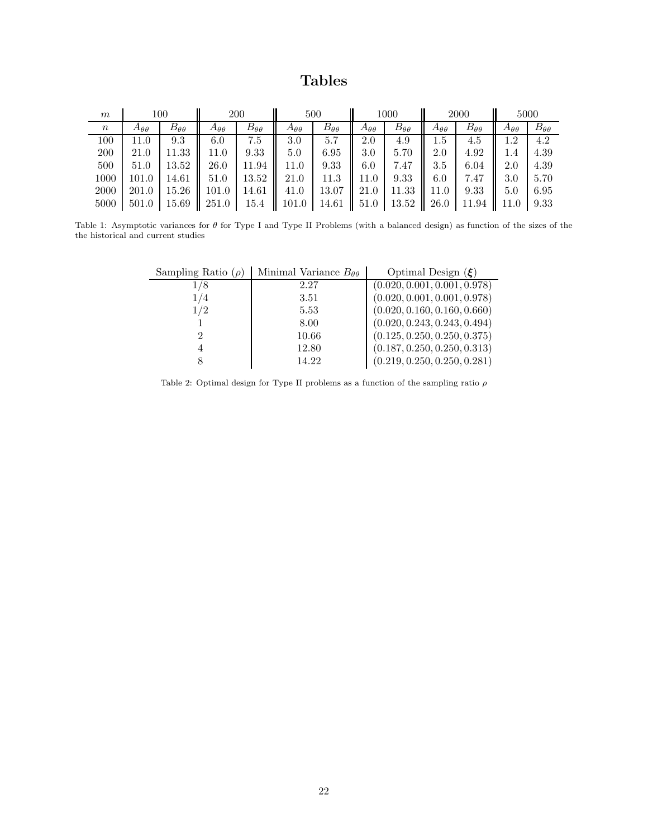# Tables

<span id="page-21-0"></span>

| m      | $100\,$            |                    | 200                |                    | 500                   |                    | 1000               |                       | 2000               |                    | 5000               |                    |
|--------|--------------------|--------------------|--------------------|--------------------|-----------------------|--------------------|--------------------|-----------------------|--------------------|--------------------|--------------------|--------------------|
| $\, n$ | $A_{\theta\theta}$ | $B_{\theta\theta}$ | $A_{\theta\theta}$ | $B_{\theta\theta}$ | $A_{\theta\theta}$    | $B_{\theta\theta}$ | $A_{\theta\theta}$ | $B_{\theta\theta}$    | $A_{\theta\theta}$ | $B_{\theta\theta}$ | $A_{\theta\theta}$ | $B_{\theta\theta}$ |
| 100    | 11.0               | 9.3                | 6.0                | 7.5                | 3.0                   | 5.7                | 2.0                | 4.9                   | $1.5\,$            | 4.5                | 1.2                | 4.2                |
| 200    | 21.0               | 11.33              | 11.0               | 9.33               | 5.0                   | 6.95               | 3.0                | 5.70                  | 2.0                | 4.92               | 1.4                | 4.39               |
| 500    | 51.0               | 13.52              | 26.0               | 11.94              | 11.0                  | 9.33               | 6.0                | 7.47                  | 3.5                | 6.04               | 2.0                | 4.39               |
| 1000   | 101.0              | 14.61              | 51.0               | 13.52              | 21.0                  | 11.3               | 11.0               | 9.33                  | 6.0<br>Ш           | 7.47               | 3.0                | 5.70               |
| 2000   | 201.0              | 15.26              | 101.0              | 14.61              | 41.0                  | $13.07$   21.0     |                    | 11.33                 | 11.0               | 9.33               | 5.0                | 6.95               |
| 5000   | 501.0              | $15.69$   251.0    |                    | 15.4               | 101.0   14.61    51.0 |                    |                    | 13.52<br>$\mathbf{I}$ | 26.0               | 11.94              | ll 11.0            | 9.33               |

<span id="page-21-1"></span>Table 1: Asymptotic variances for  $\theta$  for Type I and Type II Problems (with a balanced design) as function of the sizes of the the historical and current studies

| Sampling Ratio $(\rho)$ | Minimal Variance $B_{\theta\theta}$ | Optimal Design $(\xi)$       |
|-------------------------|-------------------------------------|------------------------------|
| /8                      | 2.27                                | (0.020, 0.001, 0.001, 0.978) |
| 1/4                     | 3.51                                | (0.020, 0.001, 0.001, 0.978) |
| 1/2                     | 5.53                                | (0.020, 0.160, 0.160, 0.660) |
|                         | 8.00                                | (0.020, 0.243, 0.243, 0.494) |
|                         | 10.66                               | (0.125, 0.250, 0.250, 0.375) |
|                         | 12.80                               | (0.187, 0.250, 0.250, 0.313) |
|                         | 14.22                               | (0.219, 0.250, 0.250, 0.281) |

Table 2: Optimal design for Type II problems as a function of the sampling ratio  $\rho$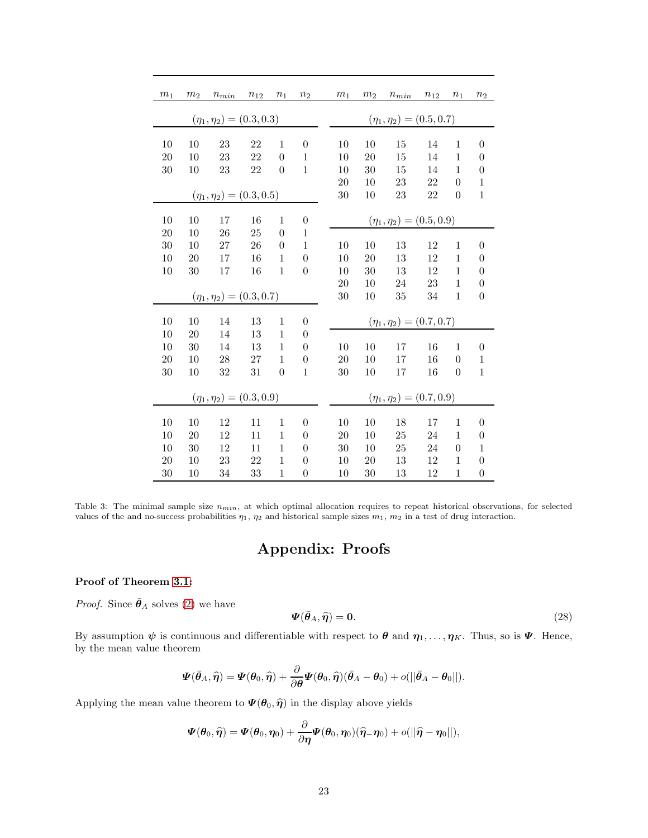<span id="page-22-0"></span>

| $\,m_1$                         | m <sub>2</sub> | $n_{min}$                       | $n_{12}$ | $n_1$          | n <sub>2</sub>   |  | m <sub>1</sub>                  | $\ensuremath{m}_2$ | $n_{\min}$ | $\boldsymbol{n}_{12}$ | $n_1$          | $\sqrt{n_{2}}$   |  |
|---------------------------------|----------------|---------------------------------|----------|----------------|------------------|--|---------------------------------|--------------------|------------|-----------------------|----------------|------------------|--|
|                                 |                |                                 |          |                |                  |  |                                 |                    |            |                       |                |                  |  |
| $(\eta_1,\eta_2)=(0.3,0.3)$     |                |                                 |          |                |                  |  | $(\eta_1, \eta_2) = (0.5, 0.7)$ |                    |            |                       |                |                  |  |
| 10                              | 10             | 23                              | 22       | $\mathbf{1}$   | $\overline{0}$   |  | 10                              | 10                 | 15         | 14                    | $\mathbf{1}$   | $\boldsymbol{0}$ |  |
| 20                              | 10             | 23                              | 22       | $\overline{0}$ | $\mathbf{1}$     |  | 10                              | 20                 | 15         | 14                    | $\mathbf{1}$   | $\overline{0}$   |  |
| 30                              | 10             | 23                              | 22       | $\theta$       | $\overline{1}$   |  | 10                              | 30                 | 15         | 14                    | $\mathbf{1}$   | 0                |  |
|                                 |                |                                 |          |                |                  |  | 20                              | 10                 | 23         | 22                    | $\overline{0}$ | $\mathbf{1}$     |  |
| $(\eta_1, \eta_2) = (0.3, 0.5)$ |                |                                 |          |                |                  |  | 30                              | 10                 | 23         | 22                    | $\overline{0}$ | $\mathbf{1}$     |  |
|                                 |                |                                 |          |                |                  |  |                                 |                    |            |                       |                |                  |  |
| 10                              | 10             | 17                              | 16       | $\mathbf{1}$   | $\boldsymbol{0}$ |  | $(\eta_1, \eta_2) = (0.5, 0.9)$ |                    |            |                       |                |                  |  |
| 20                              | 10             | 26                              | 25       | $\overline{0}$ | $\mathbf{1}$     |  |                                 |                    |            |                       |                |                  |  |
| 30                              | 10             | 27                              | 26       | $\overline{0}$ | $\mathbf{1}$     |  | 10                              | 10                 | 13         | 12                    | $\mathbf{1}$   | $\overline{0}$   |  |
| 10                              | 20             | 17                              | 16       | 1              | $\overline{0}$   |  | 10                              | 20                 | 13         | 12                    | $\mathbf{1}$   | $\overline{0}$   |  |
| 10                              | 30             | 17                              | 16       | $\mathbf{1}$   | $\overline{0}$   |  | 10                              | 30                 | 13         | 12                    | $\mathbf{1}$   | 0                |  |
|                                 |                |                                 |          |                |                  |  | 20                              | 10                 | 24         | 23                    | $\mathbf{1}$   | $\overline{0}$   |  |
|                                 |                | $(\eta_1, \eta_2) = (0.3, 0.7)$ |          |                |                  |  | 30                              | 10                 | 35         | 34                    | $\mathbf{1}$   | $\overline{0}$   |  |
|                                 |                |                                 |          |                |                  |  |                                 |                    |            |                       |                |                  |  |
| 10                              | 10             | 14                              | 13       | $\mathbf{1}$   | $\overline{0}$   |  | $(\eta_1, \eta_2) = (0.7, 0.7)$ |                    |            |                       |                |                  |  |
| 10                              | 20             | 14                              | 13       | $\mathbf{1}$   | $\overline{0}$   |  |                                 |                    |            |                       |                |                  |  |
| 10                              | 30             | 14                              | 13       | $\mathbf{1}$   | $\overline{0}$   |  | 10                              | 10                 | 17         | 16                    | $\mathbf{1}$   | $\boldsymbol{0}$ |  |
| 20                              | 10             | 28                              | 27       | $\mathbf 1$    | $\overline{0}$   |  | 20                              | 10                 | 17         | 16                    | $\overline{0}$ | $\mathbf{1}$     |  |
| 30                              | 10             | 32                              | 31       | $\overline{0}$ | $\mathbf{1}$     |  | 30                              | 10                 | 17         | 16                    | $\overline{0}$ | $\mathbf{1}$     |  |
| $(\eta_1, \eta_2) = (0.3, 0.9)$ |                |                                 |          |                |                  |  | $(\eta_1, \eta_2) = (0.7, 0.9)$ |                    |            |                       |                |                  |  |
|                                 |                |                                 |          |                |                  |  |                                 |                    |            |                       |                |                  |  |
| 10                              | 10             | 12                              | 11       | $\mathbf{1}$   | $\overline{0}$   |  | 10                              | 10                 | 18         | 17                    | $\mathbf{1}$   | $\overline{0}$   |  |
| 10                              | 20             | 12                              | 11       | $\mathbf{1}$   | $\overline{0}$   |  | 20                              | 10                 | 25         | 24                    | $\mathbf{1}$   | $\boldsymbol{0}$ |  |
| 10                              | 30             | 12                              | 11       | $\mathbf{1}$   | $\overline{0}$   |  | 30                              | 10                 | 25         | 24                    | $\overline{0}$ | $\mathbf 1$      |  |
| 20                              | 10             | 23                              | 22       | 1              | $\theta$         |  | 10                              | 20                 | 13         | 12                    | 1              | 0                |  |
| 30                              | 10             | 34                              | 33       | 1              | $\overline{0}$   |  | 10                              | 30                 | 13         | 12                    | $\mathbf 1$    | $\boldsymbol{0}$ |  |

Table 3: The minimal sample size  $n_{min}$ , at which optimal allocation requires to repeat historical observations, for selected values of the and no-success probabilities  $\eta_1$ ,  $\eta_2$  and historical sample sizes  $m_1$ ,  $m_2$  in a test of drug interaction.

# Appendix: Proofs

# Proof of Theorem [3.1:](#page-4-0)

*Proof.* Since  $\bar{\theta}_A$  solves [\(2\)](#page-3-1) we have

<span id="page-22-1"></span>
$$
\Psi(\bar{\theta}_A, \hat{\eta}) = 0. \tag{28}
$$

By assumption  $\psi$  is continuous and differentiable with respect to  $\theta$  and  $\eta_1, \ldots, \eta_K$ . Thus, so is  $\Psi$ . Hence, by the mean value theorem

$$
\boldsymbol{\varPsi}(\bar{\boldsymbol{\theta}}_A,\widehat{\boldsymbol{\eta}})=\boldsymbol{\varPsi}(\boldsymbol{\theta}_0,\widehat{\boldsymbol{\eta}})+\frac{\partial}{\partial\boldsymbol{\theta}}\boldsymbol{\varPsi}(\boldsymbol{\theta}_0,\widehat{\boldsymbol{\eta}})(\bar{\boldsymbol{\theta}}_A-\boldsymbol{\theta}_0)+o(||\bar{\boldsymbol{\theta}}_A-\boldsymbol{\theta}_0||).
$$

Applying the mean value theorem to  $\Psi(\theta_0, \hat{\eta})$  in the display above yields

$$
\boldsymbol{\varPsi}(\boldsymbol{\theta}_0,\widehat{\boldsymbol{\eta}})=\boldsymbol{\varPsi}(\boldsymbol{\theta}_0,\boldsymbol{\eta}_0)+\frac{\partial}{\partial\boldsymbol{\eta}}\boldsymbol{\varPsi}(\boldsymbol{\theta}_0,\boldsymbol{\eta}_0)(\widehat{\boldsymbol{\eta}}_-\boldsymbol{\eta}_0)+o(||\widehat{\boldsymbol{\eta}}-\boldsymbol{\eta}_0||),
$$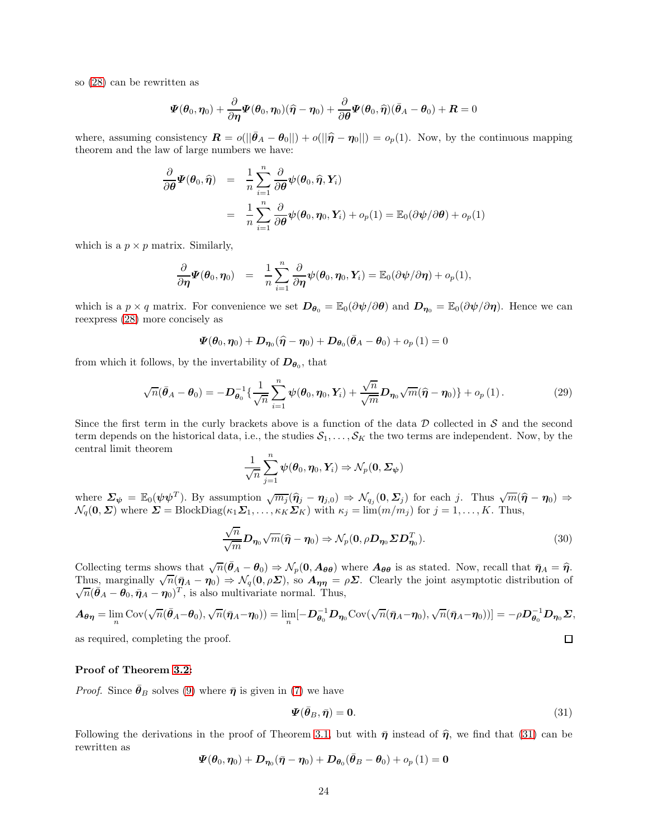so [\(28\)](#page-22-1) can be rewritten as

$$
\boldsymbol{\varPsi}(\boldsymbol{\theta}_0,\boldsymbol{\eta}_0)+\frac{\partial}{\partial\boldsymbol{\eta}}\boldsymbol{\varPsi}(\boldsymbol{\theta}_0,\boldsymbol{\eta}_0)(\widehat{\boldsymbol{\eta}}-\boldsymbol{\eta}_0)+\frac{\partial}{\partial\boldsymbol{\theta}}\boldsymbol{\varPsi}(\boldsymbol{\theta}_0,\widehat{\boldsymbol{\eta}})(\bar{\boldsymbol{\theta}}_A-\boldsymbol{\theta}_0)+\boldsymbol{R}=0
$$

where, assuming consistency  $\mathbf{R} = o(||\bar{\theta}_A - \theta_0||) + o(||\hat{\eta} - \eta_0||) = o_p(1)$ . Now, by the continuous mapping theorem and the law of large numbers we have:

$$
\frac{\partial}{\partial \theta} \Psi(\theta_0, \hat{\eta}) = \frac{1}{n} \sum_{i=1}^n \frac{\partial}{\partial \theta} \psi(\theta_0, \hat{\eta}, Y_i)
$$

$$
= \frac{1}{n} \sum_{i=1}^n \frac{\partial}{\partial \theta} \psi(\theta_0, \eta_0, Y_i) + o_p(1) = \mathbb{E}_0(\partial \psi/\partial \theta) + o_p(1)
$$

which is a  $p \times p$  matrix. Similarly,

$$
\frac{\partial}{\partial \eta} \Psi(\theta_0, \eta_0) = \frac{1}{n} \sum_{i=1}^n \frac{\partial}{\partial \eta} \psi(\theta_0, \eta_0, Y_i) = \mathbb{E}_0(\partial \psi/\partial \eta) + o_p(1),
$$

which is a  $p \times q$  matrix. For convenience we set  $\mathbf{D}_{\theta_0} = \mathbb{E}_0(\partial \psi/\partial \theta)$  and  $\mathbf{D}_{\eta_0} = \mathbb{E}_0(\partial \psi/\partial \eta)$ . Hence we can reexpress [\(28\)](#page-22-1) more concisely as

$$
\boldsymbol{\varPsi}(\boldsymbol{\theta}_0,\boldsymbol{\eta}_0)+\boldsymbol{D}_{\boldsymbol{\eta}_0}(\widehat{\boldsymbol{\eta}}-\boldsymbol{\eta}_0)+\boldsymbol{D}_{\boldsymbol{\theta}_0}(\bar{\boldsymbol{\theta}}_A-\boldsymbol{\theta}_0)+o_p\left(1\right)=0
$$

from which it follows, by the invertability of  $D_{\theta_0}$ , that

<span id="page-23-1"></span>
$$
\sqrt{n}(\bar{\boldsymbol{\theta}}_A - \boldsymbol{\theta}_0) = -\boldsymbol{D}_{\boldsymbol{\theta}_0}^{-1}\left\{\frac{1}{\sqrt{n}}\sum_{i=1}^n \boldsymbol{\psi}(\boldsymbol{\theta}_0, \boldsymbol{\eta}_0, \boldsymbol{Y}_i) + \frac{\sqrt{n}}{\sqrt{m}} \boldsymbol{D}_{\boldsymbol{\eta}_0}\sqrt{m}(\widehat{\boldsymbol{\eta}} - \boldsymbol{\eta}_0)\right\} + o_p(1).
$$
 (29)

Since the first term in the curly brackets above is a function of the data  $D$  collected in  $S$  and the second term depends on the historical data, i.e., the studies  $S_1, \ldots, S_K$  the two terms are independent. Now, by the central limit theorem

$$
\frac{1}{\sqrt{n}}\sum_{j=1}^n \boldsymbol{\psi}(\boldsymbol{\theta}_0,\boldsymbol{\eta}_0,\boldsymbol{Y}_i) \Rightarrow \mathcal{N}_p(\boldsymbol{0},\boldsymbol{\varSigma}_{\boldsymbol{\psi}})
$$

where  $\Sigma_{\psi} = \mathbb{E}_{0}(\psi \psi^{T})$ . By assumption  $\sqrt{m_{j}}(\hat{\eta}_{j} - \eta_{j,0}) \Rightarrow \mathcal{N}_{q_{j}}(0, \Sigma_{j})$  for each j. Thus  $\sqrt{m}(\hat{\eta} - \eta_{0}) \Rightarrow$  $\mathcal{N}_q(\mathbf{0}, \mathbf{\Sigma})$  where  $\mathbf{\Sigma} = \text{BlockDiag}(\kappa_1 \mathbf{\Sigma}_1, \dots, \kappa_K \mathbf{\Sigma}_K)$  with  $\kappa_j = \lim(m/m_j)$  for  $j = 1, \dots, K$ . Thus,

$$
\frac{\sqrt{n}}{\sqrt{m}} \mathbf{D}_{\eta_0} \sqrt{m} (\widehat{\boldsymbol{\eta}} - \boldsymbol{\eta}_0) \Rightarrow \mathcal{N}_p(\mathbf{0}, \rho \mathbf{D}_{\eta_0} \Sigma \mathbf{D}_{\eta_0}^T).
$$
 (30)

Collecting terms shows that  $\sqrt{n}(\bar{\theta}_A - \theta_0) \Rightarrow \mathcal{N}_p(\mathbf{0}, A_{\theta\theta})$  where  $A_{\theta\theta}$  is as stated. Now, recall that  $\bar{\eta}_A = \hat{\eta}$ . Thus, marginally  $\sqrt{n}(\bar{\eta}_A - \eta_0) \Rightarrow \mathcal{N}_q(\mathbf{0}, \rho \Sigma)$ , so  $A_{\eta\eta} = \rho \Sigma$ . Clearly the joint asymptotic distribution of  $\sqrt{n}(\bar{\theta}_A - \theta_0, \bar{\eta}_A - \eta_0)^T$ , is also multivariate normal. Thus,

$$
A_{\theta\eta} = \lim_{n} \text{Cov}(\sqrt{n}(\bar{\theta}_A - \theta_0), \sqrt{n}(\bar{\eta}_A - \eta_0)) = \lim_{n} [-D_{\theta_0}^{-1}D_{\eta_0} \text{Cov}(\sqrt{n}(\bar{\eta}_A - \eta_0), \sqrt{n}(\bar{\eta}_A - \eta_0))] = -\rho D_{\theta_0}^{-1}D_{\eta_0}\Sigma,
$$
  
as required, completing the proof.

as required, completing the proof.

# Proof of Theorem [3.2:](#page-6-0)

*Proof.* Since  $\bar{\theta}_B$  solves [\(9\)](#page-6-2) where  $\bar{\eta}$  is given in [\(7\)](#page-5-0) we have

<span id="page-23-0"></span>
$$
\Psi(\bar{\theta}_B, \bar{\eta}) = 0. \tag{31}
$$

Following the derivations in the proof of Theorem [3.1,](#page-4-0) but with  $\bar{\eta}$  instead of  $\hat{\eta}$ , we find that [\(31\)](#page-23-0) can be rewritten as

$$
\boldsymbol{\varPsi}(\boldsymbol{\theta}_0,\boldsymbol{\eta}_0) + \boldsymbol{D}_{\boldsymbol{\eta}_0}(\bar{\boldsymbol{\eta}} - \boldsymbol{\eta}_0) + \boldsymbol{D}_{\boldsymbol{\theta}_0}(\bar{\boldsymbol{\theta}}_B - \boldsymbol{\theta}_0) + o_p\left(1\right) = \boldsymbol{0}
$$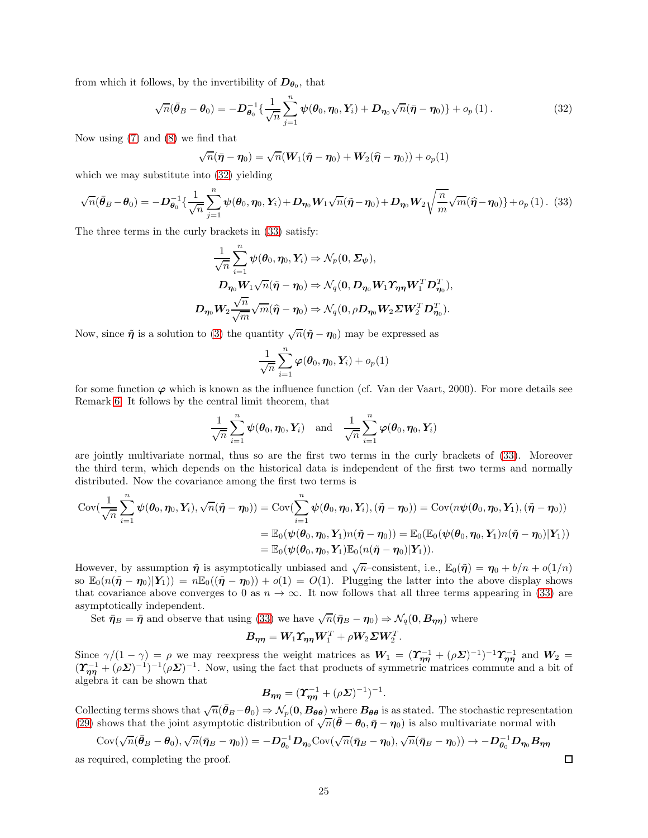from which it follows, by the invertibility of  $D_{\theta_0}$ , that

<span id="page-24-0"></span>
$$
\sqrt{n}(\bar{\boldsymbol{\theta}}_B - \boldsymbol{\theta}_0) = -\boldsymbol{D}_{\boldsymbol{\theta}_0}^{-1}\left\{\frac{1}{\sqrt{n}}\sum_{j=1}^n \boldsymbol{\psi}(\boldsymbol{\theta}_0, \boldsymbol{\eta}_0, \boldsymbol{Y}_i) + \boldsymbol{D}_{\boldsymbol{\eta}_0}\sqrt{n}(\bar{\boldsymbol{\eta}} - \boldsymbol{\eta}_0)\right\} + o_p(1).
$$
 (32)

Now using [\(7\)](#page-5-0) and [\(8\)](#page-5-3) we find that

$$
\sqrt{n}(\bar{\boldsymbol{\eta}} - \boldsymbol{\eta}_0) = \sqrt{n}(\boldsymbol{W}_1(\tilde{\boldsymbol{\eta}} - \boldsymbol{\eta}_0) + \boldsymbol{W}_2(\hat{\boldsymbol{\eta}} - \boldsymbol{\eta}_0)) + o_p(1)
$$

which we may substitute into  $(32)$  yielding

<span id="page-24-1"></span>
$$
\sqrt{n}(\bar{\theta}_B - \theta_0) = -D_{\theta_0}^{-1}\left\{\frac{1}{\sqrt{n}}\sum_{j=1}^n \psi(\theta_0, \eta_0, Y_i) + D_{\eta_0}W_1\sqrt{n}(\tilde{\eta} - \eta_0) + D_{\eta_0}W_2\sqrt{\frac{n}{m}}\sqrt{m}(\hat{\eta} - \eta_0)\right\} + o_p(1).
$$
 (33)

The three terms in the curly brackets in [\(33\)](#page-24-1) satisfy:

$$
\label{eq:1} \begin{split} \frac{1}{\sqrt{n}} \sum_{i=1}^n \psi(\pmb{\theta}_0, \pmb{\eta}_0, Y_i) & \Rightarrow \mathcal{N}_p(\pmb{0}, \pmb{\Sigma}_{\pmb{\psi}}), \\ \pmb{D}_{\pmb{\eta}_0} \pmb{W}_1 \sqrt{n} (\tilde{\pmb{\eta}} - \pmb{\eta}_0) & \Rightarrow \mathcal{N}_q(\pmb{0}, \pmb{D}_{\pmb{\eta}_0} \pmb{W}_1 \pmb{\Upsilon}_{\pmb{\eta}\pmb{\eta}} \pmb{W}_1^T \pmb{D}_{\pmb{\eta}_0}^T), \\ \pmb{D}_{\pmb{\eta}_0} \pmb{W}_2 \frac{\sqrt{n}}{\sqrt{m}} \sqrt{m} (\widehat{\pmb{\eta}} - \pmb{\eta}_0) & \Rightarrow \mathcal{N}_q(\pmb{0}, \rho \pmb{D}_{\pmb{\eta}_0} \pmb{W}_2 \pmb{\Sigma} \pmb{W}_2^T \pmb{D}_{\pmb{\eta}_0}^T). \end{split}
$$

Now, since  $\tilde{\eta}$  is a solution to [\(3\)](#page-5-4) the quantity  $\sqrt{n}(\tilde{\eta} - \eta_0)$  may be expressed as

$$
\frac{1}{\sqrt{n}}\sum_{i=1}^n \boldsymbol{\varphi}(\boldsymbol{\theta}_0,\boldsymbol{\eta}_0,\boldsymbol{Y}_i)+o_p(1)
$$

for some function  $\varphi$  which is known as the influence function (cf. Van der Vaart, 2000). For more details see Remark [6.](#page-28-0) It follows by the central limit theorem, that

$$
\frac{1}{\sqrt{n}}\sum_{i=1}^n \boldsymbol{\psi}(\boldsymbol{\theta}_0,\boldsymbol{\eta}_0,\boldsymbol{Y}_i) \quad \text{and} \quad \frac{1}{\sqrt{n}}\sum_{i=1}^n \boldsymbol{\varphi}(\boldsymbol{\theta}_0,\boldsymbol{\eta}_0,\boldsymbol{Y}_i)
$$

are jointly multivariate normal, thus so are the first two terms in the curly brackets of [\(33\)](#page-24-1). Moreover the third term, which depends on the historical data is independent of the first two terms and normally distributed. Now the covariance among the first two terms is

$$
\text{Cov}(\frac{1}{\sqrt{n}}\sum_{i=1}^n \psi(\theta_0, \eta_0, Y_i), \sqrt{n}(\tilde{\eta} - \eta_0)) = \text{Cov}(\sum_{i=1}^n \psi(\theta_0, \eta_0, Y_i), (\tilde{\eta} - \eta_0)) = \text{Cov}(n\psi(\theta_0, \eta_0, Y_1), (\tilde{\eta} - \eta_0))
$$
  
= 
$$
\mathbb{E}_0(\psi(\theta_0, \eta_0, Y_1)n(\tilde{\eta} - \eta_0)) = \mathbb{E}_0(\mathbb{E}_0(\psi(\theta_0, \eta_0, Y_1)n(\tilde{\eta} - \eta_0)|Y_1))
$$
  
= 
$$
\mathbb{E}_0(\psi(\theta_0, \eta_0, Y_1)\mathbb{E}_0(n(\tilde{\eta} - \eta_0)|Y_1)).
$$

However, by assumption  $\tilde{\eta}$  is asymptotically unbiased and  $\sqrt{n}$ -consistent, i.e.,  $\mathbb{E}_0(\tilde{\eta}) = \eta_0 + b/n + o(1/n)$ so  $\mathbb{E}_0(n(\tilde{\eta}-\eta_0)|Y_1|) = n\mathbb{E}_0((\tilde{\eta}-\eta_0)) + o(1) = O(1)$ . Plugging the latter into the above display shows that covariance above converges to 0 as  $n \to \infty$ . It now follows that all three terms appearing in [\(33\)](#page-24-1) are asymptotically independent.

Set  $\bar{\pmb{\eta}}_B = \bar{\pmb{\eta}}$  and observe that using [\(33\)](#page-24-1) we have  $\sqrt{n}(\bar{\pmb{\eta}}_B - \pmb{\eta}_0) \Rightarrow \mathcal{N}_q(\pmb{0}, \pmb{B}_{\pmb{\eta}})$  where

$$
\boldsymbol{B}_{\boldsymbol{\eta}\boldsymbol{\eta}} = \boldsymbol{W}_{\!1}\boldsymbol{\varUpsilon}_{\boldsymbol{\eta}\boldsymbol{\eta}}\boldsymbol{W}_{\!1}^T + \rho\boldsymbol{W}_{\!2}\boldsymbol{\varSigma}\boldsymbol{W}_{\!2}^T.
$$

Since  $\gamma/(1-\gamma) = \rho$  we may reexpress the weight matrices as  $W_1 = (\Upsilon_{\eta\eta}^{-1} + (\rho \Sigma)^{-1})^{-1} \Upsilon_{\eta\eta}^{-1}$  and  $W_2 =$  $(\Upsilon_{\eta\eta}^{-1} + (\rho \Sigma)^{-1})^{-1} (\rho \Sigma)^{-1}$ . Now, using the fact that products of symmetric matrices commute and a bit of algebra it can be shown that

$$
\boldsymbol{B}_{\boldsymbol{\eta}\boldsymbol{\eta}} = (\boldsymbol{\varUpsilon}_{\boldsymbol{\eta}\boldsymbol{\eta}}^{-1} + (\rho \boldsymbol{\varSigma})^{-1})^{-1}.
$$

Collecting terms shows that  $\sqrt{n}(\bar{\theta}_B - \theta_0) \Rightarrow \mathcal{N}_p(\mathbf{0}, B_{\theta \theta})$  where  $B_{\theta \theta}$  is as stated. The stochastic representation [\(29\)](#page-23-1) shows that the joint asymptotic distribution of  $\sqrt{n}(\bar{\theta}-\theta_0, \bar{\eta}-\eta_0)$  is also multivariate normal with

$$
Cov(\sqrt{n}(\bar{\theta}_B - \theta_0), \sqrt{n}(\bar{\eta}_B - \eta_0)) = -D_{\theta_0}^{-1}D_{\eta_0}Cov(\sqrt{n}(\bar{\eta}_B - \eta_0), \sqrt{n}(\bar{\eta}_B - \eta_0)) \to -D_{\theta_0}^{-1}D_{\eta_0}B_{\eta\eta}
$$

as required, completing the proof.

 $\Box$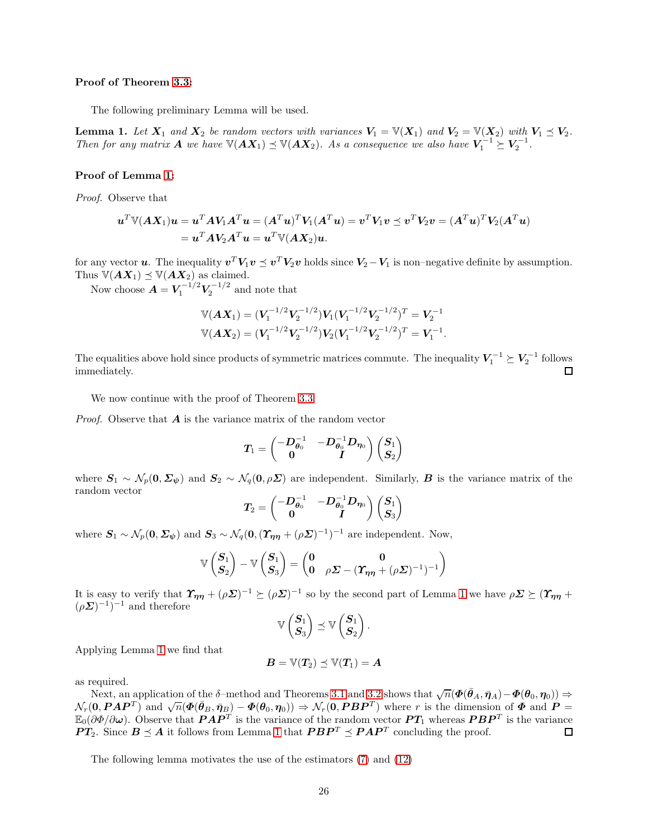# Proof of Theorem [3.3:](#page-6-1)

The following preliminary Lemma will be used.

<span id="page-25-0"></span>**Lemma 1.** Let  $X_1$  and  $X_2$  be random vectors with variances  $V_1 = V(X_1)$  and  $V_2 = V(X_2)$  with  $V_1 \preceq V_2$ . Then for any matrix **A** we have  $\mathbb{V}(AX_1) \preceq \mathbb{V}(AX_2)$ . As a consequence we also have  $V_1^{-1} \succeq V_2^{-1}$ .

## Proof of Lemma [1:](#page-25-0)

Proof. Observe that

$$
\begin{aligned} \mathbf{u}^T \mathbb{V}(A\mathbf{X}_1) \mathbf{u} &= \mathbf{u}^T A \mathbf{V}_1 A^T \mathbf{u} = (A^T \mathbf{u})^T \mathbf{V}_1 (A^T \mathbf{u}) = \mathbf{v}^T \mathbf{V}_1 \mathbf{v} \preceq \mathbf{v}^T \mathbf{V}_2 \mathbf{v} = (A^T \mathbf{u})^T \mathbf{V}_2 (A^T \mathbf{u}) \\ &= \mathbf{u}^T A \mathbf{V}_2 A^T \mathbf{u} = \mathbf{u}^T \mathbb{V}(A \mathbf{X}_2) \mathbf{u}. \end{aligned}
$$

for any vector **u**. The inequality  $v^T V_1 v \leq v^T V_2 v$  holds since  $V_2 - V_1$  is non–negative definite by assumption. Thus  $\mathbb{V}(A X_1) \preceq \mathbb{V}(A X_2)$  as claimed.

Now choose  $\boldsymbol{A} = \boldsymbol{V}_1^{-1/2} \boldsymbol{V}_2^{-1/2}$  and note that

$$
\mathbb{V}(\mathbf{A}\mathbf{X}_1) = (\mathbf{V}_1^{-1/2}\mathbf{V}_2^{-1/2})\mathbf{V}_1(\mathbf{V}_1^{-1/2}\mathbf{V}_2^{-1/2})^T = \mathbf{V}_2^{-1}
$$
  

$$
\mathbb{V}(\mathbf{A}\mathbf{X}_2) = (\mathbf{V}_1^{-1/2}\mathbf{V}_2^{-1/2})\mathbf{V}_2(\mathbf{V}_1^{-1/2}\mathbf{V}_2^{-1/2})^T = \mathbf{V}_1^{-1}.
$$

The equalities above hold since products of symmetric matrices commute. The inequality  $V_1^{-1} \succeq V_2^{-1}$  follows immediately.

We now continue with the proof of Theorem [3.3:](#page-6-1)

*Proof.* Observe that  $\boldsymbol{A}$  is the variance matrix of the random vector

$$
T_1=\begin{pmatrix}-D_{\theta_0}^{-1} & -D_{\theta_0}^{-1}D_{\eta_0}\\0& I\end{pmatrix}\begin{pmatrix}S_1\\S_2\end{pmatrix}
$$

where  $S_1 \sim \mathcal{N}_p(0, \Sigma_\psi)$  and  $S_2 \sim \mathcal{N}_q(0, \rho \Sigma)$  are independent. Similarly, B is the variance matrix of the random vector

$$
\boldsymbol{T}_2=\begin{pmatrix}-\boldsymbol{D}_{\boldsymbol{\theta}_0}^{-1} & -\boldsymbol{D}_{\boldsymbol{\theta}_0}^{-1}\boldsymbol{D}_{\boldsymbol{\eta}_0}\\ \boldsymbol{0} & \boldsymbol{I}\end{pmatrix}\begin{pmatrix}\boldsymbol{S}_1\\ \boldsymbol{S}_3\end{pmatrix}
$$

where  $S_1 \sim \mathcal{N}_p(\mathbf{0}, \Sigma_{\psi})$  and  $S_3 \sim \mathcal{N}_q(\mathbf{0}, (\Upsilon_{\eta\eta} + (\rho \Sigma)^{-1})^{-1}$  are independent. Now,

$$
\mathbb{V}\begin{pmatrix} S_1 \\ S_2 \end{pmatrix} - \mathbb{V}\begin{pmatrix} S_1 \\ S_3 \end{pmatrix} = \begin{pmatrix} 0 & 0 \\ 0 & \rho \Sigma - (\Upsilon_{\eta\eta} + (\rho \Sigma)^{-1})^{-1} \end{pmatrix}
$$

It is easy to verify that  $\mathcal{T}_{\eta\eta} + (\rho \Sigma)^{-1} \succeq (\rho \Sigma)^{-1}$  so by the second part of Lemma [1](#page-25-0) we have  $\rho \Sigma \succeq (\mathcal{T}_{\eta\eta} +$  $(\rho \Sigma)^{-1}$ <sup>-1</sup> and therefore

$$
\mathbb{V}\begin{pmatrix} \boldsymbol{S}_1\\ \boldsymbol{S}_3 \end{pmatrix} \preceq \mathbb{V}\begin{pmatrix} \boldsymbol{S}_1\\ \boldsymbol{S}_2 \end{pmatrix}.
$$

Applying Lemma [1](#page-25-0) we find that

$$
\boldsymbol{B}=\mathbb{V}(T_2)\preceq \mathbb{V}(T_1)=\boldsymbol{A}
$$

as required.

Next, an application of the δ–method and Theorems [3.1](#page-4-0) and [3.2](#page-6-0) shows that  $\sqrt{n}(\Phi(\bar{\theta}_A, \bar{\eta}_A) - \Phi(\theta_0, \eta_0)) \Rightarrow$  $\mathcal{N}_r(\mathbf{0}, \mathbf{PAP}^T)$  and  $\sqrt{n}(\mathbf{\Phi}(\bar{\theta}_B, \bar{\eta}_B) - \mathbf{\Phi}(\theta_0, \eta_0)) \Rightarrow \mathcal{N}_r(\mathbf{0}, \mathbf{PBP}^T)$  where r is the dimension of  $\mathbf{\Phi}$  and  $\mathbf{P} =$  $\mathbb{E}_0(\partial \Phi/\partial \omega)$ . Observe that  $\bm{PAP}^T$  is the variance of the random vector  $\bm{PT}_1$  whereas  $\bm{PBP}^T$  is the variance  $PT_2$ . Since  $B \preceq A$  it follows from Lemma [1](#page-25-0) that  $PBP^T \preceq PAP^T$  concluding the proof.  $\Box$ 

The following lemma motivates the use of the estimators [\(7\)](#page-5-0) and [\(12\)](#page-7-1)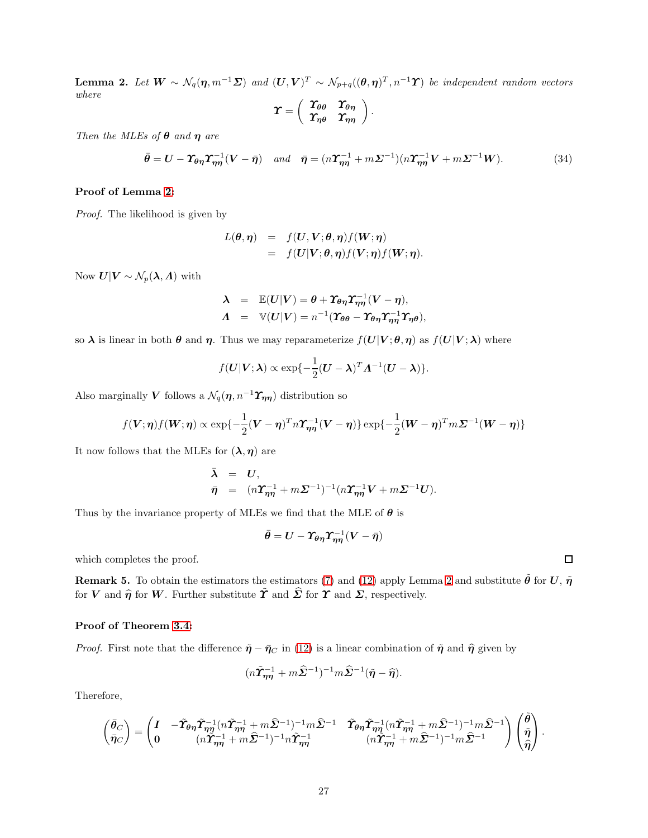<span id="page-26-0"></span>**Lemma 2.** Let  $W \sim N_q(\eta, m^{-1}\Sigma)$  and  $(U, V)^T \sim N_{p+q}((\theta, \eta)^T, n^{-1}\Upsilon)$  be independent random vectors where

$$
\boldsymbol{\varUpsilon}=\left(\begin{array}{cc} \boldsymbol{\varUpsilon}_{\boldsymbol{\theta}\boldsymbol{\theta}}&\boldsymbol{\varUpsilon}_{\boldsymbol{\theta}\boldsymbol{\eta}}\\ \boldsymbol{\varUpsilon}_{\boldsymbol{\eta}\boldsymbol{\theta}}&\boldsymbol{\varUpsilon}_{\boldsymbol{\eta}\boldsymbol{\eta}}\end{array}\right).
$$

Then the MLEs of  $\theta$  and  $\eta$  are

$$
\bar{\theta} = \mathbf{U} - \mathbf{\hat{Y}}_{\theta\eta}\mathbf{\hat{Y}}_{\eta\eta}^{-1}(\mathbf{V} - \bar{\eta}) \quad \text{and} \quad \bar{\eta} = (n\mathbf{\hat{Y}}_{\eta\eta}^{-1} + m\mathbf{\Sigma}^{-1})(n\mathbf{\hat{Y}}_{\eta\eta}^{-1}\mathbf{V} + m\mathbf{\Sigma}^{-1}\mathbf{W}). \tag{34}
$$

# Proof of Lemma [2:](#page-26-0)

Proof. The likelihood is given by

$$
L(\theta, \eta) = f(U, V; \theta, \eta) f(W; \eta)
$$
  
=  $f(U|V; \theta, \eta) f(V; \eta) f(W; \eta)$ .

Now  $\boldsymbol{U}|\boldsymbol{V} \sim \mathcal{N}_p(\boldsymbol{\lambda}, \boldsymbol{\Lambda})$  with

$$
\begin{array}{rcl}\n\lambda & = & \mathbb{E}(U|V) = \theta + \Upsilon_{\theta\eta} \Upsilon_{\eta\eta}^{-1} (V - \eta), \\
\Lambda & = & \mathbb{V}(U|V) = n^{-1} (\Upsilon_{\theta\theta} - \Upsilon_{\theta\eta} \Upsilon_{\eta\eta}^{-1} \Upsilon_{\eta\theta}),\n\end{array}
$$

so  $\lambda$  is linear in both  $\theta$  and  $\eta$ . Thus we may reparameterize  $f(U|V;\theta,\eta)$  as  $f(U|V;\lambda)$  where

$$
f(\boldsymbol{U}|\boldsymbol{V};\boldsymbol{\lambda}) \propto \exp\{-\frac{1}{2}(\boldsymbol{U}-\boldsymbol{\lambda})^T\boldsymbol{\Lambda}^{-1}(\boldsymbol{U}-\boldsymbol{\lambda})\}.
$$

Also marginally V follows a  $\mathcal{N}_q(\eta, n^{-1}\Upsilon_{\eta\eta})$  distribution so

$$
f(\boldsymbol{V};\boldsymbol{\eta})f(\boldsymbol{W};\boldsymbol{\eta}) \propto \exp\{-\frac{1}{2}(\boldsymbol{V}-\boldsymbol{\eta})^T n \boldsymbol{\Upsilon}_{\boldsymbol{\eta\eta}}^{-1}(\boldsymbol{V}-\boldsymbol{\eta})\} \exp\{-\frac{1}{2}(\boldsymbol{W}-\boldsymbol{\eta})^T m \boldsymbol{\Sigma}^{-1}(\boldsymbol{W}-\boldsymbol{\eta})\}
$$

It now follows that the MLEs for  $(\lambda, \eta)$  are

$$
\bar{\lambda} = U,
$$
  
\n
$$
\bar{\eta} = (n\Upsilon_{\eta\eta}^{-1} + m\Sigma^{-1})^{-1} (n\Upsilon_{\eta\eta}^{-1}V + m\Sigma^{-1}U).
$$

Thus by the invariance property of MLEs we find that the MLE of  $\theta$  is

$$
\bar{\theta}=U-\varUpsilon_{\theta\eta}\varUpsilon_{\eta\eta}^{-1}(V-\bar{\eta})
$$

which completes the proof.

<span id="page-26-1"></span>**Remark 5.** To obtain the estimators the estimators [\(7\)](#page-5-0) and [\(12\)](#page-7-1) apply Lemma [2](#page-26-0) and substitute  $\tilde{\theta}$  for U,  $\tilde{\eta}$ for V and  $\hat{\eta}$  for W. Further substitute  $\tilde{\Upsilon}$  and  $\hat{\Sigma}$  for  $\Upsilon$  and  $\Sigma$ , respectively.

#### Proof of Theorem [3.4:](#page-7-0)

*Proof.* First note that the difference  $\tilde{\eta} - \bar{\eta}_C$  in [\(12\)](#page-7-1) is a linear combination of  $\tilde{\eta}$  and  $\hat{\eta}$  given by

$$
(n\widetilde{\mathbf{\Upsilon}}_{\boldsymbol{\eta\eta}}^{-1}+m\widehat{\mathbf{\Sigma}}^{-1})^{-1}m\widehat{\mathbf{\Sigma}}^{-1}(\tilde{\boldsymbol{\eta}}-\widehat{\boldsymbol{\eta}}).
$$

Therefore,

$$
\begin{pmatrix} \bar{\theta}_C \\ \bar{\eta}_C \end{pmatrix} = \begin{pmatrix} I & -\tilde{\mathbf{\Upsilon}}_{\theta\eta} \tilde{\mathbf{\Upsilon}}_{\eta\eta}^{-1} (n \tilde{\mathbf{\Upsilon}}_{\eta\eta}^{-1} + m \hat{\mathbf{\Sigma}}^{-1})^{-1} m \hat{\mathbf{\Sigma}}^{-1} & \tilde{\mathbf{\Upsilon}}_{\theta\eta} \tilde{\mathbf{\Upsilon}}_{\eta\eta}^{-1} (n \tilde{\mathbf{\Upsilon}}_{\eta\eta}^{-1} + m \hat{\mathbf{\Sigma}}^{-1})^{-1} m \hat{\mathbf{\Sigma}}^{-1} \\ 0 & (n \tilde{\mathbf{\Upsilon}}_{\eta\eta}^{-1} + m \hat{\mathbf{\Sigma}}^{-1})^{-1} n \tilde{\mathbf{\Upsilon}}_{\eta\eta}^{-1} & (n \tilde{\mathbf{\Upsilon}}_{\eta\eta}^{-1} + m \hat{\mathbf{\Sigma}}^{-1})^{-1} m \hat{\mathbf{\Sigma}}^{-1} \end{pmatrix} \begin{pmatrix} \tilde{\theta} \\ \tilde{\eta} \\ \hat{\eta} \end{pmatrix}.
$$

 $\Box$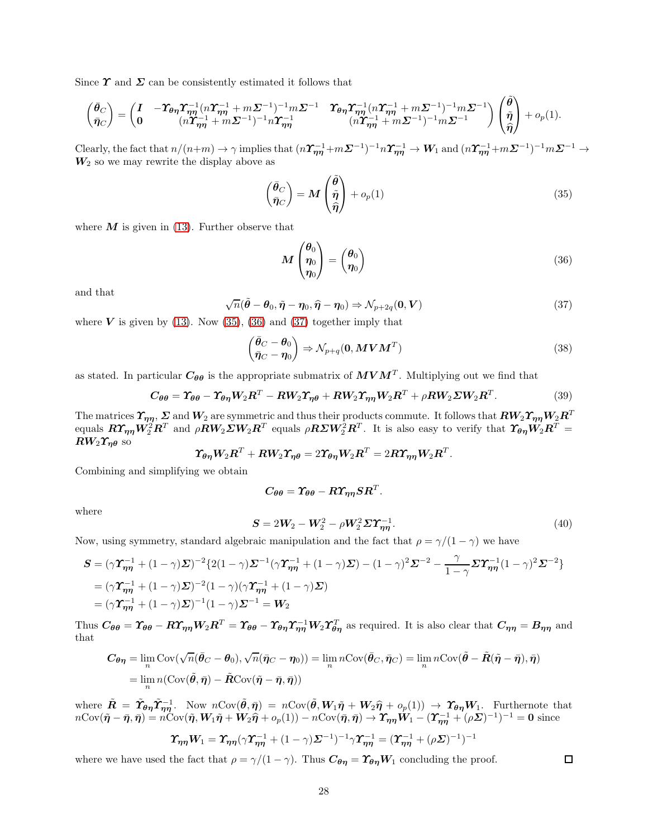Since  $\Upsilon$  and  $\Sigma$  can be consistently estimated it follows that

$$
\begin{pmatrix} \bar{\theta}_C \\ \bar{\eta}_C \end{pmatrix} = \begin{pmatrix} I & -\Upsilon_{\theta\eta} \Upsilon_{\eta\eta}^{-1} (n\Upsilon_{\eta\eta}^{-1} + m\Sigma^{-1})^{-1} m\Sigma^{-1} & \Upsilon_{\theta\eta} \Upsilon_{\eta\eta}^{-1} (n\Upsilon_{\eta\eta}^{-1} + m\Sigma^{-1})^{-1} m\Sigma^{-1} \\ (n\Upsilon_{\eta\eta}^{-1} + m\Sigma^{-1})^{-1} n\Upsilon_{\eta\eta}^{-1} & (n\Upsilon_{\eta\eta}^{-1} + m\Sigma^{-1})^{-1} m\Sigma^{-1} \end{pmatrix} \begin{pmatrix} \tilde{\theta} \\ \tilde{\eta} \\ \hat{\eta} \end{pmatrix} + o_p(1).
$$

Clearly, the fact that  $n/(n+m) \to \gamma$  implies that  $(n\Upsilon_{\eta\eta}^{-1} + m\Sigma^{-1})^{-1}n\Upsilon_{\eta\eta}^{-1} \to W_1$  and  $(n\Upsilon_{\eta\eta}^{-1} + m\Sigma^{-1})^{-1}m\Sigma^{-1} \to$  $W_2$  so we may rewrite the display above as

<span id="page-27-0"></span>
$$
\begin{pmatrix} \bar{\theta}_C \\ \bar{\eta}_C \end{pmatrix} = M \begin{pmatrix} \tilde{\theta} \\ \tilde{\eta} \\ \hat{\eta} \end{pmatrix} + o_p(1) \tag{35}
$$

where  $M$  is given in [\(13\)](#page-7-3). Further observe that

<span id="page-27-1"></span>
$$
M\begin{pmatrix} \theta_0 \\ \eta_0 \\ \eta_0 \end{pmatrix} = \begin{pmatrix} \theta_0 \\ \eta_0 \end{pmatrix} \tag{36}
$$

and that

<span id="page-27-2"></span>
$$
\sqrt{n}(\tilde{\boldsymbol{\theta}} - \boldsymbol{\theta}_0, \tilde{\boldsymbol{\eta}} - \boldsymbol{\eta}_0, \hat{\boldsymbol{\eta}} - \boldsymbol{\eta}_0) \Rightarrow \mathcal{N}_{p+2q}(\mathbf{0}, \boldsymbol{V})
$$
\n(37)

where  $V$  is given by [\(13\)](#page-7-3). Now [\(35\)](#page-27-0), [\(36\)](#page-27-1) and [\(37\)](#page-27-2) together imply that

$$
\begin{pmatrix} \bar{\theta}_C - \theta_0 \\ \bar{\eta}_C - \eta_0 \end{pmatrix} \Rightarrow \mathcal{N}_{p+q}(\mathbf{0}, \boldsymbol{M} \boldsymbol{V} \boldsymbol{M}^T)
$$
\n(38)

as stated. In particular  $C_{\theta\theta}$  is the appropriate submatrix of  $MVM^T$ . Multiplying out we find that

$$
C_{\theta\theta} = \Upsilon_{\theta\theta} - \Upsilon_{\theta\eta} W_2 R^T - R W_2 \Upsilon_{\eta\theta} + R W_2 \Upsilon_{\eta\eta} W_2 R^T + \rho R W_2 \Sigma W_2 R^T. \tag{39}
$$

The matrices  $\mathcal{T}_{\eta\eta}, \Sigma$  and  $W_2$  are symmetric and thus their products commute. It follows that  $RW_2\mathcal{T}_{\eta\eta}W_2R^T$ equals  $R\pmb{\Upsilon_{\eta\eta}W^2_2}R^T$  and  $\rho\pmb{R}\pmb{W}_2\pmb{\Sigma}\pmb{W}_2\pmb{R}^T$  equals  $\rho\pmb{R}\pmb{\Sigma}\pmb{W}^2_2\pmb{R}^T$ . It is also easy to verify that  $\pmb{\Upsilon_{\theta\eta}W_2}\pmb{R}^T=\pmb{\Upsilon_{\eta\eta}W_2}\pmb{\Sigma_{\eta\eta}W_2}\pmb{\Sigma_{\eta\eta}W_2}\pmb{\Sigma_{\eta\$  $RW_2\Upsilon_{n\theta}$  so

$$
\boldsymbol{\varUpsilon}_{\boldsymbol{\theta}\boldsymbol{\eta}}\boldsymbol{W}_{\!2}\boldsymbol{R}^T + \boldsymbol{R}\boldsymbol{W}_{\!2}\boldsymbol{\varUpsilon}_{\boldsymbol{\eta}\boldsymbol{\theta}} = 2\boldsymbol{\varUpsilon}_{\boldsymbol{\theta}\boldsymbol{\eta}}\boldsymbol{W}_{\!2}\boldsymbol{R}^T = 2\boldsymbol{R}\boldsymbol{\varUpsilon}_{\boldsymbol{\eta}\boldsymbol{\eta}}\boldsymbol{W}_{\!2}\boldsymbol{R}^T.
$$

Combining and simplifying we obtain

$$
C_{\theta\theta} = \Upsilon_{\theta\theta} - R \Upsilon_{\eta\eta} S R^T.
$$

where

$$
S = 2W_2 - W_2^2 - \rho W_2^2 \Sigma T_{\eta\eta}^{-1}.
$$
\n(40)

□

Now, using symmetry, standard algebraic manipulation and the fact that  $\rho = \gamma/(1 - \gamma)$  we have

$$
\begin{split} \mathbf{S} &= (\gamma \mathbf{\Upsilon}_{\eta \eta}^{-1} + (1 - \gamma) \mathbf{\Sigma})^{-2} \{ 2(1 - \gamma) \mathbf{\Sigma}^{-1} (\gamma \mathbf{\Upsilon}_{\eta \eta}^{-1} + (1 - \gamma) \mathbf{\Sigma}) - (1 - \gamma)^2 \mathbf{\Sigma}^{-2} - \frac{\gamma}{1 - \gamma} \mathbf{\Sigma} \mathbf{\Upsilon}_{\eta \eta}^{-1} (1 - \gamma)^2 \mathbf{\Sigma}^{-2} \} \\ &= (\gamma \mathbf{\Upsilon}_{\eta \eta}^{-1} + (1 - \gamma) \mathbf{\Sigma})^{-2} (1 - \gamma) (\gamma \mathbf{\Upsilon}_{\eta \eta}^{-1} + (1 - \gamma) \mathbf{\Sigma}) \\ &= (\gamma \mathbf{\Upsilon}_{\eta \eta}^{-1} + (1 - \gamma) \mathbf{\Sigma})^{-1} (1 - \gamma) \mathbf{\Sigma}^{-1} = \mathbf{W}_2 \end{split}
$$

Thus  $C_{\theta\theta} = \Upsilon_{\theta\theta} - R\Upsilon_{\eta\eta}W_2R^T = \Upsilon_{\theta\theta} - \Upsilon_{\theta\eta}\Upsilon_{\eta\eta}^{-1}W_2\Upsilon_{\theta\eta}^T$  as required. It is also clear that  $C_{\eta\eta} = B_{\eta\eta}$  and that

$$
C_{\theta\eta} = \lim_{n} \text{Cov}(\sqrt{n}(\bar{\theta}_C - \theta_0), \sqrt{n}(\bar{\eta}_C - \eta_0)) = \lim_{n} n \text{Cov}(\bar{\theta}_C, \bar{\eta}_C) = \lim_{n} n \text{Cov}(\tilde{\theta} - \tilde{R}(\tilde{\eta} - \bar{\eta}), \bar{\eta})
$$
  
= 
$$
\lim_{n} n (\text{Cov}(\tilde{\theta}, \bar{\eta}) - \tilde{R}\text{Cov}(\tilde{\eta} - \bar{\eta}, \bar{\eta}))
$$

where  $\tilde{R} = \tilde{T}_{\theta\eta}\tilde{T}_{\eta\eta}^{-1}$ . Now  $n\text{Cov}(\tilde{\theta}, \bar{\eta}) = n\text{Cov}(\tilde{\theta}, W_1\tilde{\eta} + W_2\hat{\eta} + o_p(1)) \rightarrow \tilde{T}_{\theta\eta}W_1$ . Furthernote that  $n\text{Cov}(\tilde{\boldsymbol{\eta}} - \bar{\boldsymbol{\eta}}, \bar{\boldsymbol{\eta}}) = n\text{Cov}(\tilde{\boldsymbol{\eta}}, \boldsymbol{W}_1 \tilde{\boldsymbol{\eta}} + \boldsymbol{W}_2 \hat{\boldsymbol{\eta}} + o_p(1)) - n\text{Cov}(\bar{\boldsymbol{\eta}}, \bar{\boldsymbol{\eta}}) \to \boldsymbol{\Upsilon}_{\boldsymbol{\eta}\boldsymbol{\eta}} \tilde{\boldsymbol{W}}_1 - (\boldsymbol{\Upsilon}_{\boldsymbol{\eta}\boldsymbol{\eta}}^{-1} + (\rho \boldsymbol{\Sigma})^{-1})^{-1} = \mathbf{0}$  since

$$
\boldsymbol{\varUpsilon}_{\boldsymbol{\eta}\boldsymbol{\eta}}\boldsymbol{W}_{1}=\boldsymbol{\varUpsilon}_{\boldsymbol{\eta}\boldsymbol{\eta}}(\gamma\boldsymbol{\varUpsilon}_{\boldsymbol{\eta}\boldsymbol{\eta}}^{-1}+(1-\gamma)\boldsymbol{\varSigma}^{-1})^{-1}\gamma\boldsymbol{\varUpsilon}_{\boldsymbol{\eta}\boldsymbol{\eta}}^{-1}=(\boldsymbol{\varUpsilon}_{\boldsymbol{\eta}\boldsymbol{\eta}}^{-1}+(\rho\boldsymbol{\varSigma})^{-1})^{-1}
$$

where we have used the fact that  $\rho = \gamma/(1-\gamma)$ . Thus  $C_{\theta\eta} = \Upsilon_{\theta\eta}W_1$  concluding the proof.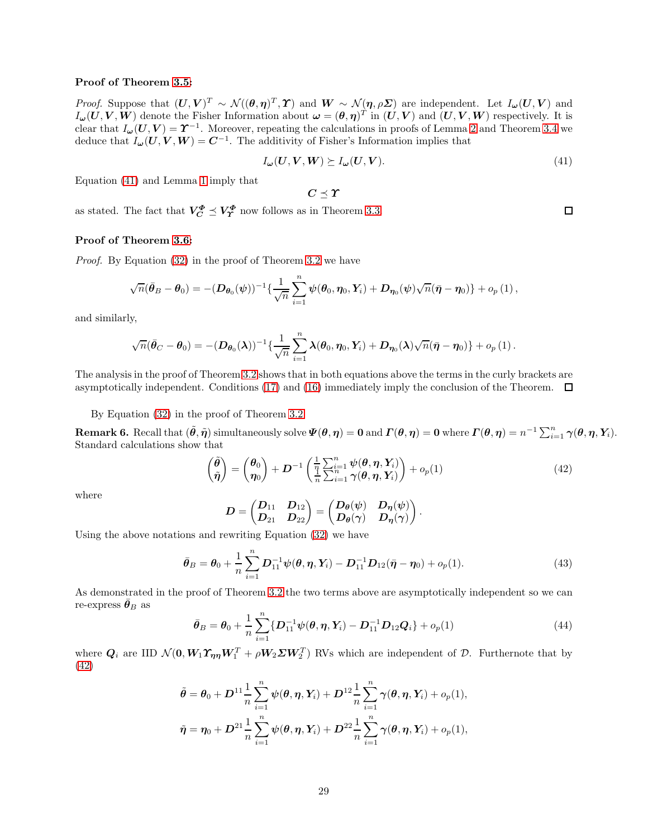# Proof of Theorem [3.5:](#page-8-0)

*Proof.* Suppose that  $(U, V)^T \sim \mathcal{N}((\theta, \eta)^T, \Upsilon)$  and  $W \sim \mathcal{N}(\eta, \rho \Sigma)$  are independent. Let  $I_{\boldsymbol{\omega}}(U, V)$  and  $I_{\boldsymbol{\omega}}(\boldsymbol{U},\boldsymbol{V},\boldsymbol{W})$  denote the Fisher Information about  $\boldsymbol{\omega}=(\boldsymbol{\theta},\boldsymbol{\eta})^T$  in  $(\boldsymbol{U},\boldsymbol{V})$  and  $(\boldsymbol{U},\boldsymbol{V},\boldsymbol{W})$  respectively. It is clear that  $I_{\omega}(U, V) = \Upsilon^{-1}$ . Moreover, repeating the calculations in proofs of Lemma [2](#page-26-0) and Theorem [3.4](#page-7-0) we deduce that  $I_{\boldsymbol{\omega}}(\boldsymbol{U},\boldsymbol{V},\boldsymbol{W})=\boldsymbol{C}^{-1}$ . The additivity of Fisher's Information implies that

<span id="page-28-1"></span>
$$
I_{\omega}(U, V, W) \succeq I_{\omega}(U, V). \tag{41}
$$

Equation [\(41\)](#page-28-1) and Lemma [1](#page-25-0) imply that

 $C \prec T$ 

as stated. The fact that  $V_C^{\Phi} \preceq V_T^{\Phi}$  now follows as in Theorem [3.3.](#page-6-1)

#### Proof of Theorem [3.6:](#page-8-1)

Proof. By Equation [\(32\)](#page-24-0) in the proof of Theorem [3.2](#page-6-0) we have

$$
\sqrt{n}(\bar{\boldsymbol{\theta}}_B-\boldsymbol{\theta}_0) = -(\boldsymbol{D}_{\boldsymbol{\theta}_0}(\boldsymbol{\psi}))^{-1}\{\frac{1}{\sqrt{n}}\sum_{i=1}^n \boldsymbol{\psi}(\boldsymbol{\theta}_0,\boldsymbol{\eta}_0,\boldsymbol{Y}_i) + \boldsymbol{D}_{\boldsymbol{\eta}_0}(\boldsymbol{\psi})\sqrt{n}(\bar{\boldsymbol{\eta}}-\boldsymbol{\eta}_0)\} + o_p(1),
$$

and similarly,

$$
\sqrt{n}(\bar{\boldsymbol\theta}_C - \boldsymbol\theta_0) = - (D_{\boldsymbol\theta_0}(\boldsymbol\lambda))^{-1}\{\frac{1}{\sqrt{n}}\sum_{i=1}^n \boldsymbol\lambda(\boldsymbol\theta_0,\boldsymbol\eta_0, \boldsymbol Y_i) + D_{\boldsymbol\eta_0}(\boldsymbol\lambda)\sqrt{n}(\bar{\boldsymbol\eta} - \boldsymbol\eta_0)\} + o_p\left(1\right).
$$

The analysis in the proof of Theorem [3.2](#page-6-0) shows that in both equations above the terms in the curly brackets are asymptotically independent. Conditions [\(17\)](#page-9-2) and [\(16\)](#page-8-2) immediately imply the conclusion of the Theorem.  $\Box$ 

By Equation [\(32\)](#page-24-0) in the proof of Theorem [3.2](#page-6-0)

<span id="page-28-0"></span>**Remark 6.** Recall that  $(\tilde{\theta}, \tilde{\eta})$  simultaneously solve  $\Psi(\theta, \eta) = 0$  and  $\Gamma(\theta, \eta) = 0$  where  $\Gamma(\theta, \eta) = n^{-1} \sum_{i=1}^{n} \gamma(\theta, \eta, Y_i)$ . Standard calculations show that

<span id="page-28-2"></span>
$$
\begin{pmatrix}\n\tilde{\boldsymbol{\theta}} \\
\tilde{\boldsymbol{\eta}}\n\end{pmatrix} = \begin{pmatrix}\n\boldsymbol{\theta}_0 \\
\boldsymbol{\eta}_0\n\end{pmatrix} + \boldsymbol{D}^{-1} \left( \frac{1}{\eta} \sum_{i=1}^n \psi(\boldsymbol{\theta}, \boldsymbol{\eta}, \boldsymbol{Y}_i) \right) + o_p(1) \tag{42}
$$

where

$$
\boldsymbol{D} = \begin{pmatrix} \boldsymbol{D}_{11} & \boldsymbol{D}_{12} \\ \boldsymbol{D}_{21} & \boldsymbol{D}_{22} \end{pmatrix} = \begin{pmatrix} \boldsymbol{D}_{\boldsymbol{\theta}}(\psi) & \boldsymbol{D}_{\boldsymbol{\eta}}(\psi) \\ \boldsymbol{D}_{\boldsymbol{\theta}}(\boldsymbol{\gamma}) & \boldsymbol{D}_{\boldsymbol{\eta}}(\boldsymbol{\gamma}) \end{pmatrix}.
$$

Using the above notations and rewriting Equation [\(32\)](#page-24-0) we have

$$
\bar{\theta}_B = \theta_0 + \frac{1}{n} \sum_{i=1}^n D_{11}^{-1} \psi(\theta, \eta, Y_i) - D_{11}^{-1} D_{12} (\bar{\eta} - \eta_0) + o_p(1).
$$
 (43)

As demonstrated in the proof of Theorem [3.2](#page-6-0) the two terms above are asymptotically independent so we can re-express  $\bar{\theta}_B$  as

<span id="page-28-3"></span>
$$
\bar{\theta}_B = \theta_0 + \frac{1}{n} \sum_{i=1}^n \{ D_{11}^{-1} \psi(\theta, \eta, Y_i) - D_{11}^{-1} D_{12} Q_i \} + o_p(1)
$$
\n(44)

where  $Q_i$  are IID  $\mathcal{N}(0, W_1 \Upsilon_{\eta \eta} W_1^T + \rho W_2 \Sigma W_2^T)$  RVs which are independent of  $\mathcal{D}$ . Furthernote that by [\(42\)](#page-28-2)

$$
\tilde{\theta} = \theta_0 + D^{11} \frac{1}{n} \sum_{i=1}^n \psi(\theta, \eta, Y_i) + D^{12} \frac{1}{n} \sum_{i=1}^n \gamma(\theta, \eta, Y_i) + o_p(1),
$$
  

$$
\tilde{\eta} = \eta_0 + D^{21} \frac{1}{n} \sum_{i=1}^n \psi(\theta, \eta, Y_i) + D^{22} \frac{1}{n} \sum_{i=1}^n \gamma(\theta, \eta, Y_i) + o_p(1),
$$

 $\Box$